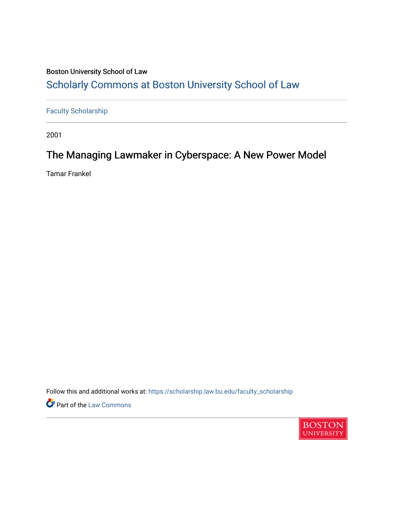# Boston University School of Law

# [Scholarly Commons at Boston University School of Law](https://scholarship.law.bu.edu/)

# [Faculty Scholarship](https://scholarship.law.bu.edu/faculty_scholarship)

2001

# The Managing Lawmaker in Cyberspace: A New Power Model

Tamar Frankel

Follow this and additional works at: [https://scholarship.law.bu.edu/faculty\\_scholarship](https://scholarship.law.bu.edu/faculty_scholarship?utm_source=scholarship.law.bu.edu%2Ffaculty_scholarship%2F873&utm_medium=PDF&utm_campaign=PDFCoverPages)

**Part of the [Law Commons](http://network.bepress.com/hgg/discipline/578?utm_source=scholarship.law.bu.edu%2Ffaculty_scholarship%2F873&utm_medium=PDF&utm_campaign=PDFCoverPages)** 

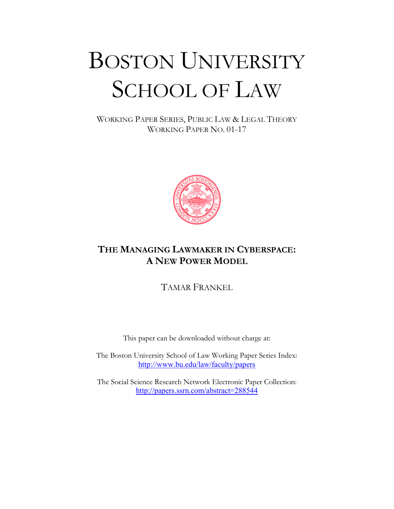# BOSTON UNIVERSITY SCHOOL OF LAW

WORKING PAPER SERIES, PUBLIC LAW & LEGAL THEORY WORKING PAPER NO. 01-17



# **THE MANAGING LAWMAKER IN CYBERSPACE: A NEW POWER MODEL**

TAMAR FRANKEL

This paper can be downloaded without charge at:

The Boston University School of Law Working Paper Series Index: http://www.bu.edu/law/faculty/papers

The Social Science Research Network Electronic Paper Collection: http://papers.ssrn.com/abstract=288544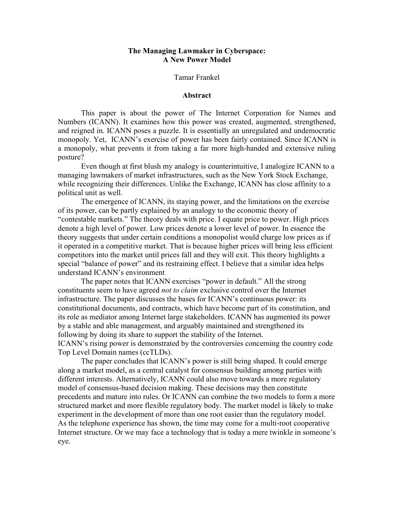#### **The Managing Lawmaker in Cyberspace: A New Power Model**

#### Tamar Frankel

#### **Abstract**

This paper is about the power of The Internet Corporation for Names and Numbers (ICANN). It examines how this power was created, augmented, strengthened, and reigned in. ICANN poses a puzzle. It is essentially an unregulated and undemocratic monopoly. Yet, ICANN's exercise of power has been fairly contained. Since ICANN is a monopoly, what prevents it from taking a far more high-handed and extensive ruling posture?

Even though at first blush my analogy is counterintuitive, I analogize ICANN to a managing lawmakers of market infrastructures, such as the New York Stock Exchange, while recognizing their differences. Unlike the Exchange, ICANN has close affinity to a political unit as well.

The emergence of ICANN, its staying power, and the limitations on the exercise of its power, can be partly explained by an analogy to the economic theory of "contestable markets." The theory deals with price. I equate price to power. High prices denote a high level of power. Low prices denote a lower level of power. In essence the theory suggests that under certain conditions a monopolist would charge low prices as if it operated in a competitive market. That is because higher prices will bring less efficient competitors into the market until prices fall and they will exit. This theory highlights a special "balance of power" and its restraining effect. I believe that a similar idea helps understand ICANN's environment

The paper notes that ICANN exercises "power in default." All the strong constituents seem to have agreed *not to claim* exclusive control over the Internet infrastructure. The paper discusses the bases for ICANN's continuous power: its constitutional documents, and contracts, which have become part of its constitution, and its role as mediator among Internet large stakeholders. ICANN has augmented its power by a stable and able management, and arguably maintained and strengthened its following by doing its share to support the stability of the Internet.

ICANN's rising power is demonstrated by the controversies concerning the country code Top Level Domain names (ccTLDs).

The paper concludes that ICANN's power is still being shaped. It could emerge along a market model, as a central catalyst for consensus building among parties with different interests. Alternatively, ICANN could also move towards a more regulatory model of consensus-based decision making. These decisions may then constitute precedents and mature into rules. Or ICANN can combine the two models to form a more structured market and more flexible regulatory body. The market model is likely to make experiment in the development of more than one root easier than the regulatory model. As the telephone experience has shown, the time may come for a multi-root cooperative Internet structure. Or we may face a technology that is today a mere twinkle in someone's eye.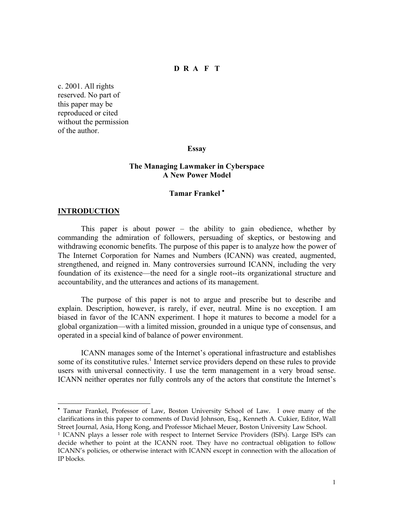#### **D R A F T**

c. 2001. All rights reserved. No part of this paper may be reproduced or cited without the permission of the author.

**Essay** 

#### **The Managing Lawmaker in Cyberspace A New Power Model**

#### **Tamar Frankel** •

#### **INTRODUCTION**

 $\overline{a}$ 

This paper is about power – the ability to gain obedience, whether by commanding the admiration of followers, persuading of skeptics, or bestowing and withdrawing economic benefits. The purpose of this paper is to analyze how the power of The Internet Corporation for Names and Numbers (ICANN) was created, augmented, strengthened, and reigned in. Many controversies surround ICANN, including the very foundation of its existence—the need for a single root--its organizational structure and accountability, and the utterances and actions of its management.

The purpose of this paper is not to argue and prescribe but to describe and explain. Description, however, is rarely, if ever, neutral. Mine is no exception. I am biased in favor of the ICANN experiment. I hope it matures to become a model for a global organization—with a limited mission, grounded in a unique type of consensus, and operated in a special kind of balance of power environment.

ICANN manages some of the Internet's operational infrastructure and establishes some of its constitutive rules.<sup>1</sup> Internet service providers depend on these rules to provide users with universal connectivity. I use the term management in a very broad sense. ICANN neither operates nor fully controls any of the actors that constitute the Internet's

<sup>•</sup> Tamar Frankel, Professor of Law, Boston University School of Law. I owe many of the clarifications in this paper to comments of David Johnson, Esq., Kenneth A. Cukier, Editor, Wall Street Journal, Asia, Hong Kong, and Professor Michael Meuer, Boston University Law School.

<sup>&</sup>lt;sup>1</sup> ICANN plays a lesser role with respect to Internet Service Providers (ISPs). Large ISPs can decide whether to point at the ICANN root. They have no contractual obligation to follow ICANN's policies, or otherwise interact with ICANN except in connection with the allocation of IP blocks.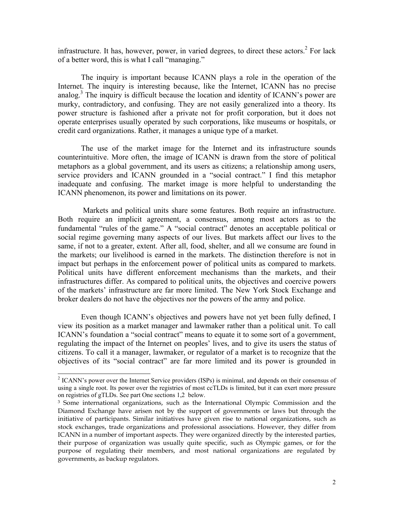infrastructure. It has, however, power, in varied degrees, to direct these actors. $2$  For lack of a better word, this is what I call "managing."

The inquiry is important because ICANN plays a role in the operation of the Internet. The inquiry is interesting because, like the Internet, ICANN has no precise analog.<sup>3</sup> The inquiry is difficult because the location and identity of ICANN's power are murky, contradictory, and confusing. They are not easily generalized into a theory. Its power structure is fashioned after a private not for profit corporation, but it does not operate enterprises usually operated by such corporations, like museums or hospitals, or credit card organizations. Rather, it manages a unique type of a market.

The use of the market image for the Internet and its infrastructure sounds counterintuitive. More often, the image of ICANN is drawn from the store of political metaphors as a global government, and its users as citizens; a relationship among users, service providers and ICANN grounded in a "social contract." I find this metaphor inadequate and confusing. The market image is more helpful to understanding the ICANN phenomenon, its power and limitations on its power.

 Markets and political units share some features. Both require an infrastructure. Both require an implicit agreement, a consensus, among most actors as to the fundamental "rules of the game." A "social contract" denotes an acceptable political or social regime governing many aspects of our lives. But markets affect our lives to the same, if not to a greater, extent. After all, food, shelter, and all we consume are found in the markets; our livelihood is earned in the markets. The distinction therefore is not in impact but perhaps in the enforcement power of political units as compared to markets. Political units have different enforcement mechanisms than the markets, and their infrastructures differ. As compared to political units, the objectives and coercive powers of the markets' infrastructure are far more limited. The New York Stock Exchange and broker dealers do not have the objectives nor the powers of the army and police.

Even though ICANN's objectives and powers have not yet been fully defined, I view its position as a market manager and lawmaker rather than a political unit. To call ICANN's foundation a "social contract" means to equate it to some sort of a government, regulating the impact of the Internet on peoples' lives, and to give its users the status of citizens. To call it a manager, lawmaker, or regulator of a market is to recognize that the objectives of its "social contract" are far more limited and its power is grounded in

 $2$  ICANN's power over the Internet Service providers (ISPs) is minimal, and depends on their consensus of using a single root. Its power over the registries of most ccTLDs is limited, but it can exert more pressure on registries of gTLDs. See part One sections 1,2 below.

<sup>&</sup>lt;sup>3</sup> Some international organizations, such as the International Olympic Commission and the Diamond Exchange have arisen not by the support of governments or laws but through the initiative of participants. Similar initiatives have given rise to national organizations, such as stock exchanges, trade organizations and professional associations. However, they differ from ICANN in a number of important aspects. They were organized directly by the interested parties, their purpose of organization was usually quite specific, such as Olympic games, or for the purpose of regulating their members, and most national organizations are regulated by governments, as backup regulators.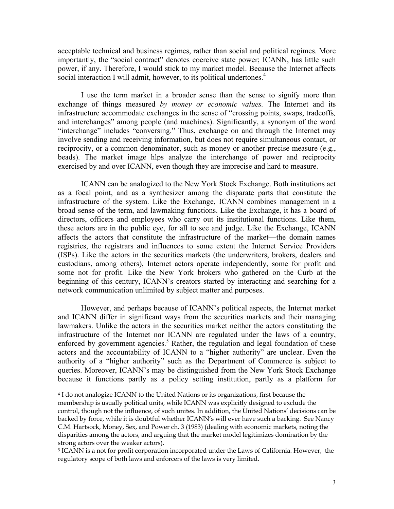acceptable technical and business regimes, rather than social and political regimes. More importantly, the "social contract" denotes coercive state power; ICANN, has little such power, if any. Therefore, I would stick to my market model. Because the Internet affects social interaction I will admit, however, to its political undertones.<sup>4</sup>

I use the term market in a broader sense than the sense to signify more than exchange of things measured *by money or economic values.* The Internet and its infrastructure accommodate exchanges in the sense of "crossing points, swaps, tradeoffs*,*  and interchanges" among people (and machines). Significantly, a synonym of the word "interchange" includes "conversing." Thus, exchange on and through the Internet may involve sending and receiving information, but does not require simultaneous contact, or reciprocity, or a common denominator, such as money or another precise measure (e.g., beads). The market image hlps analyze the interchange of power and reciprocity exercised by and over ICANN, even though they are imprecise and hard to measure.

ICANN can be analogized to the New York Stock Exchange. Both institutions act as a focal point, and as a synthesizer among the disparate parts that constitute the infrastructure of the system. Like the Exchange, ICANN combines management in a broad sense of the term, and lawmaking functions. Like the Exchange, it has a board of directors, officers and employees who carry out its institutional functions. Like them, these actors are in the public eye, for all to see and judge. Like the Exchange, ICANN affects the actors that constitute the infrastructure of the market—the domain names registries, the registrars and influences to some extent the Internet Service Providers (ISPs). Like the actors in the securities markets (the underwriters, brokers, dealers and custodians, among others), Internet actors operate independently, some for profit and some not for profit. Like the New York brokers who gathered on the Curb at the beginning of this century, ICANN's creators started by interacting and searching for a network communication unlimited by subject matter and purposes.

However, and perhaps because of ICANN's political aspects, the Internet market and ICANN differ in significant ways from the securities markets and their managing lawmakers. Unlike the actors in the securities market neither the actors constituting the infrastructure of the Internet nor ICANN are regulated under the laws of a country, enforced by government agencies.<sup>5</sup> Rather, the regulation and legal foundation of these actors and the accountability of ICANN to a "higher authority" are unclear. Even the authority of a "higher authority" such as the Department of Commerce is subject to queries. Moreover, ICANN's may be distinguished from the New York Stock Exchange because it functions partly as a policy setting institution, partly as a platform for

<sup>4</sup> I do not analogize ICANN to the United Nations or its organizations, first because the membership is usually political units, while ICANN was explicitly designed to exclude the control, though not the influence, of such unites. In addition, the United Nations' decisions can be backed by force, while it is doubtful whether ICANN's will ever have such a backing. See Nancy C.M. Hartsock, Money, Sex, and Power ch. 3 (1983) (dealing with economic markets, noting the disparities among the actors, and arguing that the market model legitimizes domination by the strong actors over the weaker actors).

<sup>5</sup> ICANN is a not for profit corporation incorporated under the Laws of California. However, the regulatory scope of both laws and enforcers of the laws is very limited.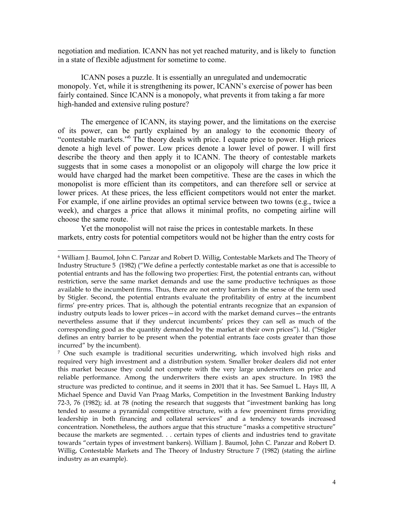negotiation and mediation. ICANN has not yet reached maturity, and is likely to function in a state of flexible adjustment for sometime to come.

ICANN poses a puzzle. It is essentially an unregulated and undemocratic monopoly. Yet, while it is strengthening its power, ICANN's exercise of power has been fairly contained. Since ICANN is a monopoly, what prevents it from taking a far more high-handed and extensive ruling posture?

The emergence of ICANN, its staying power, and the limitations on the exercise of its power, can be partly explained by an analogy to the economic theory of "contestable markets."<sup>6</sup> The theory deals with price. I equate price to power. High prices denote a high level of power. Low prices denote a lower level of power. I will first describe the theory and then apply it to ICANN. The theory of contestable markets suggests that in some cases a monopolist or an oligopoly will charge the low price it would have charged had the market been competitive. These are the cases in which the monopolist is more efficient than its competitors, and can therefore sell or service at lower prices. At these prices, the less efficient competitors would not enter the market. For example, if one airline provides an optimal service between two towns (e.g., twice a week), and charges a price that allows it minimal profits, no competing airline will choose the same route.

Yet the monopolist will not raise the prices in contestable markets. In these markets, entry costs for potential competitors would not be higher than the entry costs for

<sup>6</sup> William J. Baumol, John C. Panzar and Robert D. Willig, Contestable Markets and The Theory of Industry Structure 5 (1982) ("We define a perfectly contestable market as one that is accessible to potential entrants and has the following two properties: First, the potential entrants can, without restriction, serve the same market demands and use the same productive techniques as those available to the incumbent firms. Thus, there are not entry barriers in the sense of the term used by Stigler. Second, the potential entrants evaluate the profitability of entry at the incumbent firms' pre-entry prices. That is, although the potential entrants recognize that an expansion of industry outputs leads to lower prices—in accord with the market demand curves—the entrants nevertheless assume that if they undercut incumbents' prices they can sell as much of the corresponding good as the quantity demanded by the market at their own prices"). Id. ("Stigler defines an entry barrier to be present when the potential entrants face costs greater than those incurred" by the incumbent).

<sup>7</sup> One such example is traditional securities underwriting, which involved high risks and required very high investment and a distribution system. Smaller broker dealers did not enter this market because they could not compete with the very large underwriters on price and reliable performance. Among the underwriters there exists an apex structure. In 1983 the structure was predicted to continue, and it seems in 2001 that it has. See Samuel L. Hays III, A Michael Spence and David Van Praag Marks, Competition in the Investment Banking Industry 72-3, 76 (1982); id. at 78 (noting the research that suggests that "investment banking has long tended to assume a pyramidal competitive structure, with a few preeminent firms providing leadership in both financing and collateral services" and a tendency towards increased concentration. Nonetheless, the authors argue that this structure "masks a competitive structure" because the markets are segmented. . . certain types of clients and industries tend to gravitate towards "certain types of investment bankers). William J. Baumol, John C. Panzar and Robert D. Willig, Contestable Markets and The Theory of Industry Structure 7 (1982) (stating the airline industry as an example).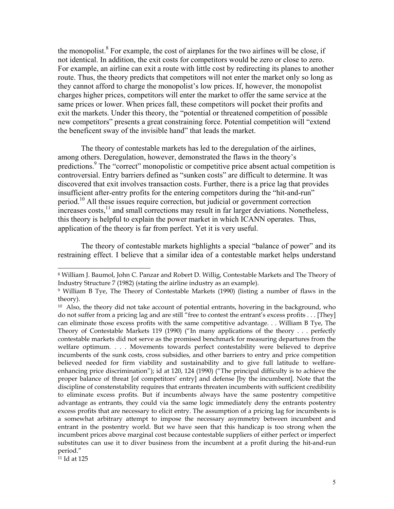the monopolist.<sup>8</sup> For example, the cost of airplanes for the two airlines will be close, if not identical. In addition, the exit costs for competitors would be zero or close to zero. For example, an airline can exit a route with little cost by redirecting its planes to another route. Thus, the theory predicts that competitors will not enter the market only so long as they cannot afford to charge the monopolist's low prices. If, however, the monopolist charges higher prices, competitors will enter the market to offer the same service at the same prices or lower. When prices fall, these competitors will pocket their profits and exit the markets. Under this theory, the "potential or threatened competition of possible new competitors" presents a great constraining force. Potential competition will "extend the beneficent sway of the invisible hand" that leads the market.

The theory of contestable markets has led to the deregulation of the airlines, among others. Deregulation, however, demonstrated the flaws in the theory's predictions.<sup>9</sup> The "correct" monopolistic or competitive price absent actual competition is controversial. Entry barriers defined as "sunken costs" are difficult to determine. It was discovered that exit involves transaction costs. Further, there is a price lag that provides insufficient after-entry profits for the entering competitors during the "hit-and-run" period.<sup>10</sup> All these issues require correction, but judicial or government correction  $\frac{1}{2}$  increases costs,<sup>11</sup> and small corrections may result in far larger deviations. Nonetheless, this theory is helpful to explain the power market in which ICANN operates. Thus, application of the theory is far from perfect. Yet it is very useful.

The theory of contestable markets highlights a special "balance of power" and its restraining effect. I believe that a similar idea of a contestable market helps understand

<sup>8</sup> William J. Baumol, John C. Panzar and Robert D. Willig, Contestable Markets and The Theory of Industry Structure 7 (1982) (stating the airline industry as an example).

<sup>9</sup> William B Tye, The Theory of Contestable Markets (1990) (listing a number of flaws in the theory).

 $10$  Also, the theory did not take account of potential entrants, hovering in the background, who do not suffer from a pricing lag and are still "free to contest the entrant's excess profits . . . [They] can eliminate those excess profits with the same competitive advantage. . . William B Tye, The Theory of Contestable Markets 119 (1990) ("In many applications of the theory . . . perfectly contestable markets did not serve as the promised benchmark for measuring departures from the welfare optimum. . . . Movements towards perfect contestability were believed to deprive incumbents of the sunk costs, cross subsidies, and other barriers to entry and price competition believed needed for firm viability and sustainability and to give full latitude to welfareenhancing price discrimination"); id at 120, 124 (1990) ("The principal difficulty is to achieve the proper balance of threat [of competitors' entry] and defense [by the incumbent]. Note that the discipline of constenstability requires that entrants threaten incumbents with sufficient credibility to eliminate excess profits. But if incumbents always have the same postentry competitive advantage as entrants, they could via the same logic immediately deny the entrants postentry excess profits that are necessary to elicit entry. The assumption of a pricing lag for incumbents is a somewhat arbitrary attempt to impose the necessary asymmetry between incumbent and entrant in the postentry world. But we have seen that this handicap is too strong when the incumbent prices above marginal cost because contestable suppliers of either perfect or imperfect substitutes can use it to diver business from the incumbent at a profit during the hit-and-run period."

<sup>11</sup> Id at 125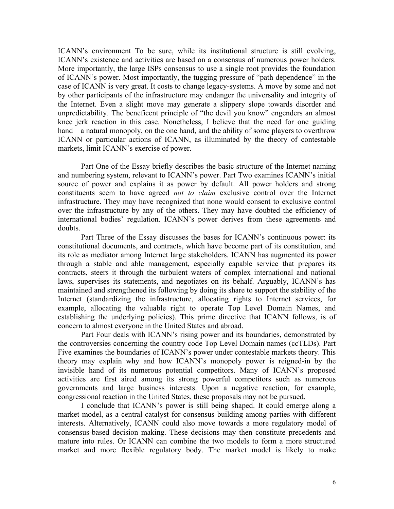ICANN's environment To be sure, while its institutional structure is still evolving, ICANN's existence and activities are based on a consensus of numerous power holders. More importantly, the large ISPs consensus to use a single root provides the foundation of ICANN's power. Most importantly, the tugging pressure of "path dependence" in the case of ICANN is very great. It costs to change legacy-systems. A move by some and not by other participants of the infrastructure may endanger the universality and integrity of the Internet. Even a slight move may generate a slippery slope towards disorder and unpredictability. The beneficent principle of "the devil you know" engenders an almost knee jerk reaction in this case. Nonetheless, I believe that the need for one guiding hand—a natural monopoly, on the one hand, and the ability of some players to overthrow ICANN or particular actions of ICANN, as illuminated by the theory of contestable markets, limit ICANN's exercise of power.

Part One of the Essay briefly describes the basic structure of the Internet naming and numbering system, relevant to ICANN's power. Part Two examines ICANN's initial source of power and explains it as power by default. All power holders and strong constituents seem to have agreed *not to claim* exclusive control over the Internet infrastructure. They may have recognized that none would consent to exclusive control over the infrastructure by any of the others. They may have doubted the efficiency of international bodies' regulation. ICANN's power derives from these agreements and doubts.

Part Three of the Essay discusses the bases for ICANN's continuous power: its constitutional documents, and contracts, which have become part of its constitution, and its role as mediator among Internet large stakeholders. ICANN has augmented its power through a stable and able management, especially capable service that prepares its contracts, steers it through the turbulent waters of complex international and national laws, supervises its statements, and negotiates on its behalf. Arguably, ICANN's has maintained and strengthened its following by doing its share to support the stability of the Internet (standardizing the infrastructure, allocating rights to Internet services, for example, allocating the valuable right to operate Top Level Domain Names, and establishing the underlying policies). This prime directive that ICANN follows, is of concern to almost everyone in the United States and abroad.

Part Four deals with ICANN's rising power and its boundaries, demonstrated by the controversies concerning the country code Top Level Domain names (ccTLDs). Part Five examines the boundaries of ICANN's power under contestable markets theory. This theory may explain why and how ICANN's monopoly power is reigned-in by the invisible hand of its numerous potential competitors. Many of ICANN's proposed activities are first aired among its strong powerful competitors such as numerous governments and large business interests. Upon a negative reaction, for example, congressional reaction in the United States, these proposals may not be pursued.

I conclude that ICANN's power is still being shaped. It could emerge along a market model, as a central catalyst for consensus building among parties with different interests. Alternatively, ICANN could also move towards a more regulatory model of consensus-based decision making. These decisions may then constitute precedents and mature into rules. Or ICANN can combine the two models to form a more structured market and more flexible regulatory body. The market model is likely to make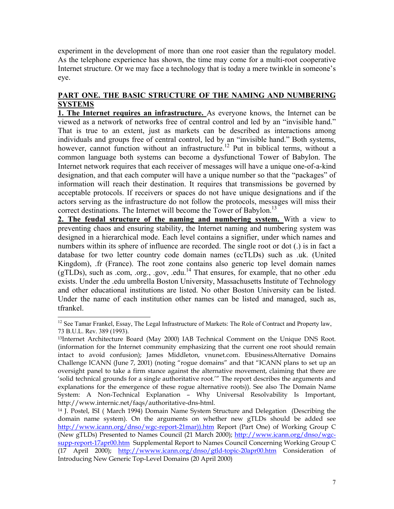experiment in the development of more than one root easier than the regulatory model. As the telephone experience has shown, the time may come for a multi-root cooperative Internet structure. Or we may face a technology that is today a mere twinkle in someone's eye.

# **PART ONE. THE BASIC STRUCTURE OF THE NAMING AND NUMBERING SYSTEMS**

**1. The Internet requires an infrastructure.** As everyone knows, the Internet can be viewed as a network of networks free of central control and led by an "invisible hand." That is true to an extent, just as markets can be described as interactions among individuals and groups free of central control, led by an "invisible hand." Both systems, however, cannot function without an infrastructure.<sup>12</sup> Put in biblical terms, without a common language both systems can become a dysfunctional Tower of Babylon. The Internet network requires that each receiver of messages will have a unique one-of-a-kind designation, and that each computer will have a unique number so that the "packages" of information will reach their destination. It requires that transmissions be governed by acceptable protocols. If receivers or spaces do not have unique designations and if the actors serving as the infrastructure do not follow the protocols, messages will miss their correct destinations. The Internet will become the Tower of Babylon.<sup>13</sup>

**2. The feudal structure of the naming and numbering system.** With a view to preventing chaos and ensuring stability, the Internet naming and numbering system was designed in a hierarchical mode. Each level contains a signifier, under which names and numbers within its sphere of influence are recorded. The single root or dot (.) is in fact a database for two letter country code domain names (ccTLDs) such as .uk. (United Kingdom), .fr (France). The root zone contains also generic top level domain names (gTLDs), such as .com, .org., .gov, .edu.14 That ensures, for example, that no other .edu exists. Under the .edu umbrella Boston University, Massachusetts Institute of Technology and other educational institutions are listed. No other Boston University can be listed. Under the name of each institution other names can be listed and managed, such as, tfrankel.

 $\overline{a}$ <sup>12</sup> See Tamar Frankel, Essay, The Legal Infrastructure of Markets: The Role of Contract and Property law, 73 B.U.L. Rev. 389 (1993).

<sup>13</sup>Internet Architecture Board (May 2000) IAB Technical Comment on the Unique DNS Root. (information for the Internet community emphasizing that the current one root should remain intact to avoid confusion); James Middleton, vnunet.com. EbusinessAlternative Domains Challenge ICANN (June 7, 2001) (noting "rogue domains" and that "ICANN plans to set up an oversight panel to take a firm stance against the alternative movement, claiming that there are 'solid technical grounds for a single authoritative root.'" The report describes the arguments and explanations for the emergence of these rogue alternative roots)). See also The Domain Name System: A Non-Technical Explanation – Why Universal Resolvability Is Important, http://www.internic.net/faqs/authoritative-dns-html.

<sup>14</sup> J. Postel, ISI ( March 1994) Domain Name System Structure and Delegation (Describing the domain name system). On the arguments on whether new gTLDs should be added see http://www.icann.org/dnso/wgc-report-21mar)).htm Report (Part One) of Working Group C (New gTLDs) Presented to Names Council (21 March 2000); http://www.icann.org/dnso/wgcsupp-report-17apr00.htm Supplemental Report to Names Council Concerning Working Group C (17 April 2000); http://wwww.icann.org/dnso/gtld-topic-20apr00.htm Consideration of Introducing New Generic Top-Level Domains (20 April 2000)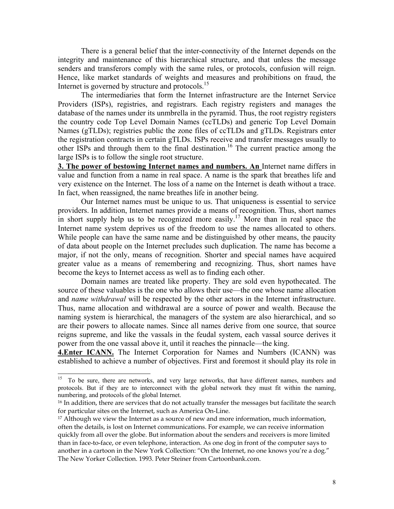There is a general belief that the inter-connectivity of the Internet depends on the integrity and maintenance of this hierarchical structure, and that unless the message senders and transferors comply with the same rules, or protocols, confusion will reign. Hence, like market standards of weights and measures and prohibitions on fraud, the Internet is governed by structure and protocols.<sup>15</sup>

The intermediaries that form the Internet infrastructure are the Internet Service Providers (ISPs), registries, and registrars. Each registry registers and manages the database of the names under its unmbrella in the pyramid. Thus, the root registry registers the country code Top Level Domain Names (ccTLDs) and generic Top Level Domain Names (gTLDs); registries public the zone files of ccTLDs and gTLDs. Registrars enter the registration contracts in certain gTLDs. ISPs receive and transfer messages usually to other ISPs and through them to the final destination.16 The current practice among the large ISPs is to follow the single root structure.

**3. The power of bestowing Internet names and numbers. An** Internet name differs in value and function from a name in real space. A name is the spark that breathes life and very existence on the Internet. The loss of a name on the Internet is death without a trace. In fact, when reassigned, the name breathes life in another being.

 Our Internet names must be unique to us. That uniqueness is essential to service providers. In addition, Internet names provide a means of recognition. Thus, short names in short supply help us to be recognized more easily.<sup>17</sup> More than in real space the Internet name system deprives us of the freedom to use the names allocated to others. While people can have the same name and be distinguished by other means, the paucity of data about people on the Internet precludes such duplication. The name has become a major, if not the only, means of recognition. Shorter and special names have acquired greater value as a means of remembering and recognizing. Thus, short names have become the keys to Internet access as well as to finding each other.

Domain names are treated like property. They are sold even hypothecated. The source of these valuables is the one who allows their use—the one whose name allocation and *name withdrawal* will be respected by the other actors in the Internet infrastructure. Thus, name allocation and withdrawal are a source of power and wealth. Because the naming system is hierarchical, the managers of the system are also hierarchical, and so are their powers to allocate names. Since all names derive from one source, that source reigns supreme, and like the vassals in the feudal system, each vassal source derives it power from the one vassal above it, until it reaches the pinnacle—the king.

**4.Enter ICANN.** The Internet Corporation for Names and Numbers (ICANN) was established to achieve a number of objectives. First and foremost it should play its role in

 $15\,$ 15 To be sure, there are networks, and very large networks, that have different names, numbers and protocols. But if they are to interconnect with the global network they must fit within the naming, numbering, and protocols of the global Internet.

<sup>&</sup>lt;sup>16</sup> In addition, there are services that do not actually transfer the messages but facilitate the search for particular sites on the Internet, such as America On-Line.

 $17$  Although we view the Internet as a source of new and more information, much information, often the details, is lost on Internet communications. For example, we can receive information quickly from all over the globe. But information about the senders and receivers is more limited than in face-to-face, or even telephone, interaction. As one dog in front of the computer says to another in a cartoon in the New York Collection: "On the Internet, no one knows you're a dog." The New Yorker Collection. 1993. Peter Steiner from Cartoonbank.com.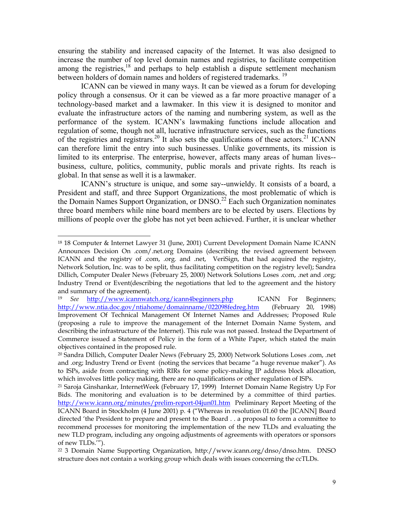ensuring the stability and increased capacity of the Internet. It was also designed to increase the number of top level domain names and registries, to facilitate competition among the registries, $18$  and perhaps to help establish a dispute settlement mechanism between holders of domain names and holders of registered trademarks.<sup>19</sup>

ICANN can be viewed in many ways. It can be viewed as a forum for developing policy through a consensus. Or it can be viewed as a far more proactive manager of a technology-based market and a lawmaker. In this view it is designed to monitor and evaluate the infrastructure actors of the naming and numbering system, as well as the performance of the system. ICANN's lawmaking functions include allocation and regulation of some, though not all, lucrative infrastructure services, such as the functions of the registries and registrars.<sup>20</sup> It also sets the qualifications of these actors.<sup>21</sup> ICANN can therefore limit the entry into such businesses. Unlike governments, its mission is limited to its enterprise. The enterprise, however, affects many areas of human lives- business, culture, politics, community, public morals and private rights. Its reach is global. In that sense as well it is a lawmaker.

ICANN's structure is unique, and some say--unwieldy. It consists of a board, a President and staff, and three Support Organizations, the most problematic of which is the Domain Names Support Organization, or  $DNSO<sup>22</sup>$  Each such Organization nominates three board members while nine board members are to be elected by users. Elections by millions of people over the globe has not yet been achieved. Further, it is unclear whether

<sup>18 18</sup> Computer & Internet Lawyer 31 (June, 2001) Current Development Domain Name ICANN Announces Decision On .com/.net.org Domains (describing the revised agreement between ICANN and the registry of .com, .org. and .net, VeriSign, that had acquired the registry, Network Solution, Inc. was to be split, thus facilitating competition on the registry level); Sandra Dillich, Computer Dealer News (February 25, 2000) Network Solutions Loses .com, .net and .org; Industry Trend or Event(describing the negotiations that led to the agreement and the history and summary of the agreement).

<sup>19</sup> *See* http://www.icannwatch.org/icann4beginners.php ICANN For Beginners; http://www.ntia.doc.gov/ntiahome/domainname/022098fedreg.htm (February 20, 1998) Improvement Of Technical Management Of Internet Names and Addresses; Proposed Rule (proposing a rule to improve the management of the Internet Domain Name System, and describing the infrastructure of the Internet). This rule was not passed. Instead the Department of Commerce issued a Statement of Policy in the form of a White Paper, which stated the main objectives contained in the proposed rule.

<sup>20</sup> Sandra Dillich, Computer Dealer News (February 25, 2000) Network Solutions Loses .com, .net and .org; Industry Trend or Event (noting the services that became "a huge revenue maker"). As to ISPs, aside from contracting with RIRs for some policy-making IP address block allocation, which involves little policy making, there are no qualifications or other regulation of ISPs.

<sup>21</sup> Saroja Ginshankar, InternetWeek (February 17, 1999) Internet Domain Name Registry Up For Bids. The monitoring and evaluation is to be determined by a committee of third parties. http://www.icann.org/minutes/prelim-report-04jun01.htm Preliminary Report Meeting of the ICANN Board in Stockholm (4 June 2001) p. 4 ("Whereas in resolution 01.60 the [ICANN] Board directed 'the President to prepare and present to the Board . . a proposal to form a committee to recommend processes for monitoring the implementation of the new TLDs and evaluating the new TLD program, including any ongoing adjustments of agreements with operators or sponsors of new TLDs.'").

<sup>22 3</sup> Domain Name Supporting Organization, http://www.icann.org/dnso/dnso.htm. DNSO structure does not contain a working group which deals with issues concerning the ccTLDs.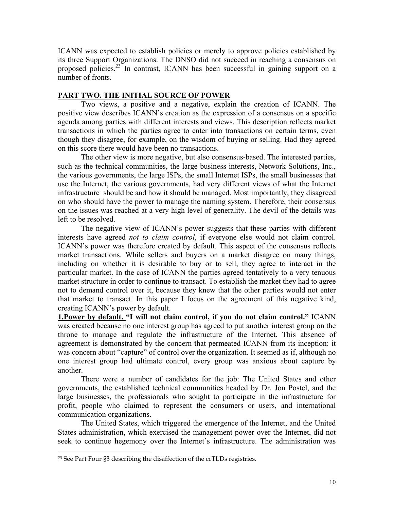ICANN was expected to establish policies or merely to approve policies established by its three Support Organizations. The DNSO did not succeed in reaching a consensus on proposed policies.<sup>23</sup> In contrast, ICANN has been successful in gaining support on a number of fronts.

# **PART TWO. THE INITIAL SOURCE OF POWER**

 Two views, a positive and a negative, explain the creation of ICANN. The positive view describes ICANN's creation as the expression of a consensus on a specific agenda among parties with different interests and views. This description reflects market transactions in which the parties agree to enter into transactions on certain terms, even though they disagree, for example, on the wisdom of buying or selling. Had they agreed on this score there would have been no transactions.

The other view is more negative, but also consensus-based. The interested parties, such as the technical communities, the large business interests, Network Solutions, Inc., the various governments, the large ISPs, the small Internet ISPs, the small businesses that use the Internet, the various governments, had very different views of what the Internet infrastructure should be and how it should be managed. Most importantly, they disagreed on who should have the power to manage the naming system. Therefore, their consensus on the issues was reached at a very high level of generality. The devil of the details was left to be resolved.

The negative view of ICANN's power suggests that these parties with different interests have agreed *not to claim control*, if everyone else would not claim control. ICANN's power was therefore created by default. This aspect of the consensus reflects market transactions. While sellers and buyers on a market disagree on many things, including on whether it is desirable to buy or to sell, they agree to interact in the particular market. In the case of ICANN the parties agreed tentatively to a very tenuous market structure in order to continue to transact. To establish the market they had to agree not to demand control over it, because they knew that the other parties would not enter that market to transact. In this paper I focus on the agreement of this negative kind, creating ICANN's power by default.

**1.Power by default. "I will not claim control, if you do not claim control."** ICANN was created because no one interest group has agreed to put another interest group on the throne to manage and regulate the infrastructure of the Internet. This absence of agreement is demonstrated by the concern that permeated ICANN from its inception: it was concern about "capture" of control over the organization. It seemed as if, although no one interest group had ultimate control, every group was anxious about capture by another.

There were a number of candidates for the job: The United States and other governments, the established technical communities headed by Dr. Jon Postel, and the large businesses, the professionals who sought to participate in the infrastructure for profit, people who claimed to represent the consumers or users, and international communication organizations.

The United States, which triggered the emergence of the Internet, and the United States administration, which exercised the management power over the Internet, did not seek to continue hegemony over the Internet's infrastructure. The administration was

<sup>23</sup> See Part Four §3 describing the disaffection of the ccTLDs registries.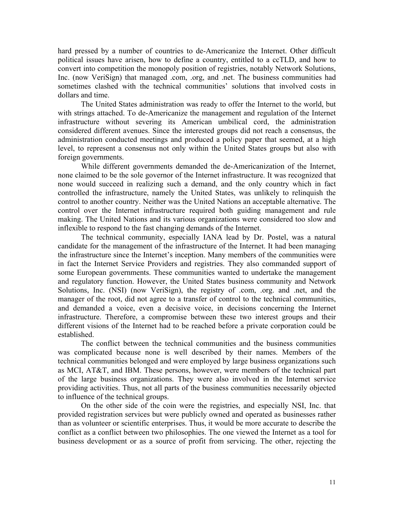hard pressed by a number of countries to de-Americanize the Internet. Other difficult political issues have arisen, how to define a country, entitled to a ccTLD, and how to convert into competition the monopoly position of registries, notably Network Solutions, Inc. (now VeriSign) that managed .com, .org, and .net. The business communities had sometimes clashed with the technical communities' solutions that involved costs in dollars and time.

The United States administration was ready to offer the Internet to the world, but with strings attached. To de-Americanize the management and regulation of the Internet infrastructure without severing its American umbilical cord, the administration considered different avenues. Since the interested groups did not reach a consensus, the administration conducted meetings and produced a policy paper that seemed, at a high level, to represent a consensus not only within the United States groups but also with foreign governments.

While different governments demanded the de-Americanization of the Internet, none claimed to be the sole governor of the Internet infrastructure. It was recognized that none would succeed in realizing such a demand, and the only country which in fact controlled the infrastructure, namely the United States, was unlikely to relinquish the control to another country. Neither was the United Nations an acceptable alternative. The control over the Internet infrastructure required both guiding management and rule making. The United Nations and its various organizations were considered too slow and inflexible to respond to the fast changing demands of the Internet.

The technical community, especially IANA lead by Dr. Postel, was a natural candidate for the management of the infrastructure of the Internet. It had been managing the infrastructure since the Internet's inception. Many members of the communities were in fact the Internet Service Providers and registries. They also commanded support of some European governments. These communities wanted to undertake the management and regulatory function. However, the United States business community and Network Solutions, Inc. (NSI) (now VeriSign), the registry of .com, .org. and .net, and the manager of the root, did not agree to a transfer of control to the technical communities, and demanded a voice, even a decisive voice, in decisions concerning the Internet infrastructure. Therefore, a compromise between these two interest groups and their different visions of the Internet had to be reached before a private corporation could be established.

The conflict between the technical communities and the business communities was complicated because none is well described by their names. Members of the technical communities belonged and were employed by large business organizations such as MCI, AT&T, and IBM. These persons, however, were members of the technical part of the large business organizations. They were also involved in the Internet service providing activities. Thus, not all parts of the business communities necessarily objected to influence of the technical groups.

On the other side of the coin were the registries, and especially NSI, Inc. that provided registration services but were publicly owned and operated as businesses rather than as volunteer or scientific enterprises. Thus, it would be more accurate to describe the conflict as a conflict between two philosophies. The one viewed the Internet as a tool for business development or as a source of profit from servicing. The other, rejecting the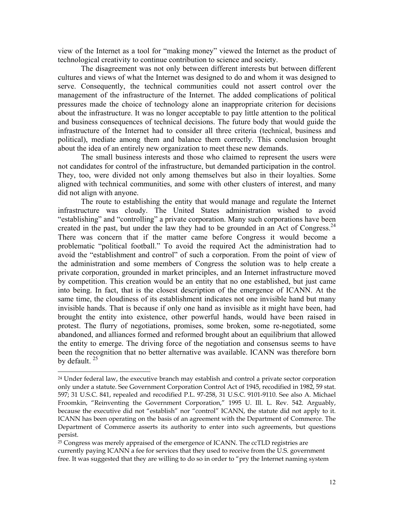view of the Internet as a tool for "making money" viewed the Internet as the product of technological creativity to continue contribution to science and society.

The disagreement was not only between different interests but between different cultures and views of what the Internet was designed to do and whom it was designed to serve. Consequently, the technical communities could not assert control over the management of the infrastructure of the Internet. The added complications of political pressures made the choice of technology alone an inappropriate criterion for decisions about the infrastructure. It was no longer acceptable to pay little attention to the political and business consequences of technical decisions. The future body that would guide the infrastructure of the Internet had to consider all three criteria (technical, business and political), mediate among them and balance them correctly. This conclusion brought about the idea of an entirely new organization to meet these new demands.

The small business interests and those who claimed to represent the users were not candidates for control of the infrastructure, but demanded participation in the control. They, too, were divided not only among themselves but also in their loyalties. Some aligned with technical communities, and some with other clusters of interest, and many did not align with anyone.

The route to establishing the entity that would manage and regulate the Internet infrastructure was cloudy. The United States administration wished to avoid "establishing" and "controlling" a private corporation. Many such corporations have been created in the past, but under the law they had to be grounded in an Act of Congress.<sup>24</sup> There was concern that if the matter came before Congress it would become a problematic "political football." To avoid the required Act the administration had to avoid the "establishment and control" of such a corporation. From the point of view of the administration and some members of Congress the solution was to help create a private corporation, grounded in market principles, and an Internet infrastructure moved by competition. This creation would be an entity that no one established, but just came into being. In fact, that is the closest description of the emergence of ICANN. At the same time, the cloudiness of its establishment indicates not one invisible hand but many invisible hands. That is because if only one hand as invisible as it might have been, had brought the entity into existence, other powerful hands, would have been raised in protest. The flurry of negotiations, promises, some broken, some re-negotiated, some abandoned, and alliances formed and reformed brought about an equilibrium that allowed the entity to emerge. The driving force of the negotiation and consensus seems to have been the recognition that no better alternative was available. ICANN was therefore born by default.<sup>25</sup>

 $24$  Under federal law, the executive branch may establish and control a private sector corporation only under a statute. See Government Corporation Control Act of 1945, recodified in 1982, 59 stat. 597; 31 U.S.C. 841, repealed and recodified P.L. 97-258, 31 U.S.C. 9101-9110. See also A. Michael Froomkin, "Reinventing the Government Corporation," 1995 U. Ill. L. Rev. 542. Arguably, because the executive did not "establish" nor "control" ICANN, the statute did not apply to it. ICANN has been operating on the basis of an agreement with the Department of Commerce. The Department of Commerce asserts its authority to enter into such agreements, but questions persist.

<sup>25</sup> Congress was merely appraised of the emergence of ICANN. The ccTLD registries are currently paying ICANN a fee for services that they used to receive from the U.S. government free. It was suggested that they are willing to do so in order to "pry the Internet naming system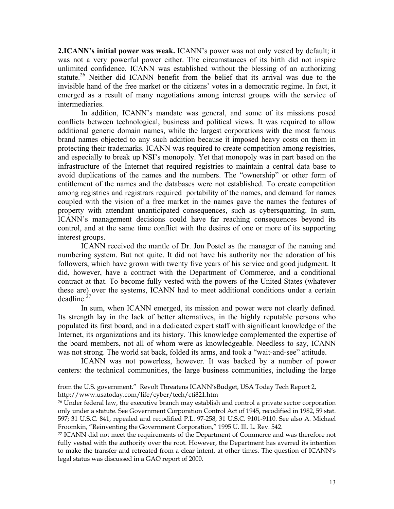**2.ICANN's initial power was weak.** ICANN's power was not only vested by default; it was not a very powerful power either. The circumstances of its birth did not inspire unlimited confidence. ICANN was established without the blessing of an authorizing statute.<sup>26</sup> Neither did ICANN benefit from the belief that its arrival was due to the invisible hand of the free market or the citizens' votes in a democratic regime. In fact, it emerged as a result of many negotiations among interest groups with the service of intermediaries.

In addition, ICANN's mandate was general, and some of its missions posed conflicts between technological, business and political views. It was required to allow additional generic domain names, while the largest corporations with the most famous brand names objected to any such addition because it imposed heavy costs on them in protecting their trademarks. ICANN was required to create competition among registries, and especially to break up NSI's monopoly. Yet that monopoly was in part based on the infrastructure of the Internet that required registries to maintain a central data base to avoid duplications of the names and the numbers. The "ownership" or other form of entitlement of the names and the databases were not established. To create competition among registries and registrars required portability of the names, and demand for names coupled with the vision of a free market in the names gave the names the features of property with attendant unanticipated consequences, such as cybersquatting. In sum, ICANN's management decisions could have far reaching consequences beyond its control, and at the same time conflict with the desires of one or more of its supporting interest groups.

ICANN received the mantle of Dr. Jon Postel as the manager of the naming and numbering system. But not quite. It did not have his authority nor the adoration of his followers, which have grown with twenty five years of his service and good judgment. It did, however, have a contract with the Department of Commerce, and a conditional contract at that. To become fully vested with the powers of the United States (whatever these are) over the systems, ICANN had to meet additional conditions under a certain deadline. $27$ 

In sum, when ICANN emerged, its mission and power were not clearly defined. Its strength lay in the lack of better alternatives, in the highly reputable persons who populated its first board, and in a dedicated expert staff with significant knowledge of the Internet, its organizations and its history. This knowledge complemented the expertise of the board members, not all of whom were as knowledgeable. Needless to say, ICANN was not strong. The world sat back, folded its arms, and took a "wait-and-see" attitude.

ICANN was not powerless, however. It was backed by a number of power centers: the technical communities, the large business communities, including the large

from the U.S. government." Revolt Threatens ICANN'sBudget, USA Today Tech Report 2, http://www.usatoday.com/life/cyber/tech/cti821.htm

<sup>26</sup> Under federal law, the executive branch may establish and control a private sector corporation only under a statute. See Government Corporation Control Act of 1945, recodified in 1982, 59 stat. 597; 31 U.S.C. 841, repealed and recodified P.L. 97-258, 31 U.S.C. 9101-9110. See also A. Michael Froomkin, "Reinventing the Government Corporation," 1995 U. Ill. L. Rev. 542.

<sup>&</sup>lt;sup>27</sup> ICANN did not meet the requirements of the Department of Commerce and was therefore not fully vested with the authority over the root. However, the Department has averred its intention to make the transfer and retreated from a clear intent, at other times. The question of ICANN's legal status was discussed in a GAO report of 2000.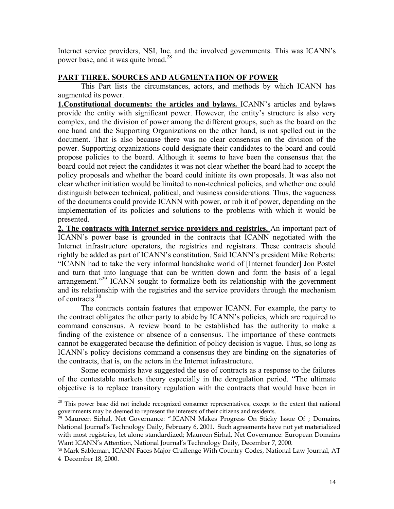Internet service providers, NSI, Inc. and the involved governments. This was ICANN's power base, and it was quite broad.<sup>28</sup>

## **PART THREE. SOURCES AND AUGMENTATION OF POWER**

This Part lists the circumstances, actors, and methods by which ICANN has augmented its power.

**1.Constitutional documents: the articles and bylaws.** ICANN's articles and bylaws provide the entity with significant power. However, the entity's structure is also very complex, and the division of power among the different groups, such as the board on the one hand and the Supporting Organizations on the other hand, is not spelled out in the document. That is also because there was no clear consensus on the division of the power. Supporting organizations could designate their candidates to the board and could propose policies to the board. Although it seems to have been the consensus that the board could not reject the candidates it was not clear whether the board had to accept the policy proposals and whether the board could initiate its own proposals. It was also not clear whether initiation would be limited to non-technical policies, and whether one could distinguish between technical, political, and business considerations. Thus, the vagueness of the documents could provide ICANN with power, or rob it of power, depending on the implementation of its policies and solutions to the problems with which it would be presented.

**2. The contracts with Internet service providers and registries.** An important part of ICANN's power base is grounded in the contracts that ICANN negotiated with the Internet infrastructure operators, the registries and registrars. These contracts should rightly be added as part of ICANN's constitution. Said ICANN's president Mike Roberts: "ICANN had to take the very informal handshake world of [Internet founder] Jon Postel and turn that into language that can be written down and form the basis of a legal arrangement."<sup>29</sup> ICANN sought to formalize both its relationship with the government and its relationship with the registries and the service providers through the mechanism of contracts.<sup>30</sup>

The contracts contain features that empower ICANN. For example, the party to the contract obligates the other party to abide by ICANN's policies, which are required to command consensus. A review board to be established has the authority to make a finding of the existence or absence of a consensus. The importance of these contracts cannot be exaggerated because the definition of policy decision is vague. Thus, so long as ICANN's policy decisions command a consensus they are binding on the signatories of the contracts, that is, on the actors in the Internet infrastructure.

Some economists have suggested the use of contracts as a response to the failures of the contestable markets theory especially in the deregulation period. "The ultimate objective is to replace transitory regulation with the contracts that would have been in

<sup>&</sup>lt;sup>28</sup> This power base did not include recognized consumer representatives, except to the extent that national governments may be deemed to represent the interests of their citizens and residents.

<sup>&</sup>lt;sup>29</sup> Maureen Sirhal, Net Governance: ".ICANN Makes Progress On Sticky Issue Of ; Domains, National Journal's Technology Daily, February 6, 2001. Such agreements have not yet materialized with most registries, let alone standardized; Maureen Sirhal, Net Governance: European Domains Want ICANN's Attention, National Journal's Technology Daily, December 7, 2000.

<sup>&</sup>lt;sup>30</sup> Mark Sableman, ICANN Faces Major Challenge With Country Codes, National Law Journal, AT 4 December 18, 2000.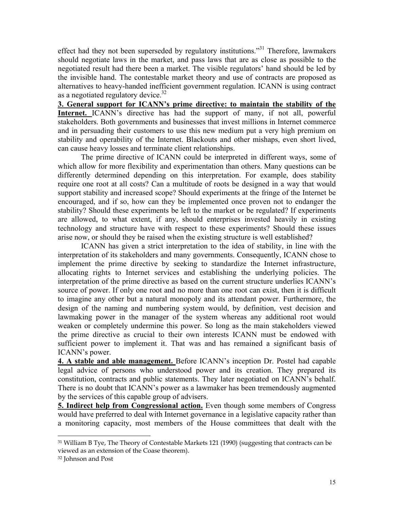effect had they not been superseded by regulatory institutions."31 Therefore, lawmakers should negotiate laws in the market, and pass laws that are as close as possible to the negotiated result had there been a market. The visible regulators' hand should be led by the invisible hand. The contestable market theory and use of contracts are proposed as alternatives to heavy-handed inefficient government regulation. ICANN is using contract as a negotiated regulatory device.<sup>32</sup>

**3. General support for ICANN's prime directive: to maintain the stability of the**  Internet. ICANN's directive has had the support of many, if not all, powerful stakeholders. Both governments and businesses that invest millions in Internet commerce and in persuading their customers to use this new medium put a very high premium on stability and operability of the Internet. Blackouts and other mishaps, even short lived, can cause heavy losses and terminate client relationships.

The prime directive of ICANN could be interpreted in different ways, some of which allow for more flexibility and experimentation than others. Many questions can be differently determined depending on this interpretation. For example, does stability require one root at all costs? Can a multitude of roots be designed in a way that would support stability and increased scope? Should experiments at the fringe of the Internet be encouraged, and if so, how can they be implemented once proven not to endanger the stability? Should these experiments be left to the market or be regulated? If experiments are allowed, to what extent, if any, should enterprises invested heavily in existing technology and structure have with respect to these experiments? Should these issues arise now, or should they be raised when the existing structure is well established?

ICANN has given a strict interpretation to the idea of stability, in line with the interpretation of its stakeholders and many governments. Consequently, ICANN chose to implement the prime directive by seeking to standardize the Internet infrastructure, allocating rights to Internet services and establishing the underlying policies. The interpretation of the prime directive as based on the current structure underlies ICANN's source of power. If only one root and no more than one root can exist, then it is difficult to imagine any other but a natural monopoly and its attendant power. Furthermore, the design of the naming and numbering system would, by definition, vest decision and lawmaking power in the manager of the system whereas any additional root would weaken or completely undermine this power. So long as the main stakeholders viewed the prime directive as crucial to their own interests ICANN must be endowed with sufficient power to implement it. That was and has remained a significant basis of ICANN's power.

**4. A stable and able management.** Before ICANN's inception Dr. Postel had capable legal advice of persons who understood power and its creation. They prepared its constitution, contracts and public statements. They later negotiated on ICANN's behalf. There is no doubt that ICANN's power as a lawmaker has been tremendously augmented by the services of this capable group of advisers.

**5. Indirect help from Congressional action.** Even though some members of Congress would have preferred to deal with Internet governance in a legislative capacity rather than a monitoring capacity, most members of the House committees that dealt with the

<sup>31</sup> William B Tye, The Theory of Contestable Markets 121 (1990) (suggesting that contracts can be viewed as an extension of the Coase theorem).

<sup>32</sup> Johnson and Post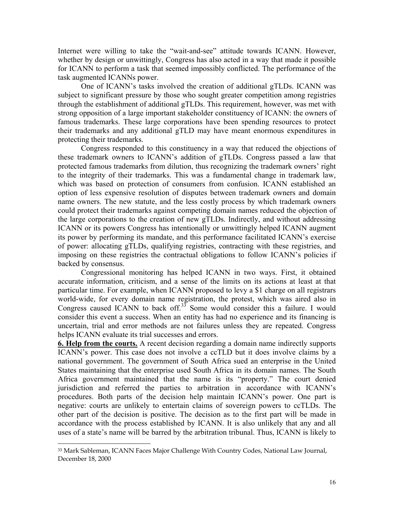Internet were willing to take the "wait-and-see" attitude towards ICANN. However, whether by design or unwittingly, Congress has also acted in a way that made it possible for ICANN to perform a task that seemed impossibly conflicted. The performance of the task augmented ICANNs power.

One of ICANN's tasks involved the creation of additional gTLDs. ICANN was subject to significant pressure by those who sought greater competition among registries through the establishment of additional gTLDs. This requirement, however, was met with strong opposition of a large important stakeholder constituency of ICANN: the owners of famous trademarks. These large corporations have been spending resources to protect their trademarks and any additional gTLD may have meant enormous expenditures in protecting their trademarks.

Congress responded to this constituency in a way that reduced the objections of these trademark owners to ICANN's addition of gTLDs. Congress passed a law that protected famous trademarks from dilution, thus recognizing the trademark owners' right to the integrity of their trademarks. This was a fundamental change in trademark law, which was based on protection of consumers from confusion. ICANN established an option of less expensive resolution of disputes between trademark owners and domain name owners. The new statute, and the less costly process by which trademark owners could protect their trademarks against competing domain names reduced the objection of the large corporations to the creation of new gTLDs. Indirectly, and without addressing ICANN or its powers Congress has intentionally or unwittingly helped ICANN augment its power by performing its mandate, and this performance facilitated ICANN's exercise of power: allocating gTLDs, qualifying registries, contracting with these registries, and imposing on these registries the contractual obligations to follow ICANN's policies if backed by consensus.

Congressional monitoring has helped ICANN in two ways. First, it obtained accurate information, criticism, and a sense of the limits on its actions at least at that particular time. For example, when ICANN proposed to levy a \$1 charge on all registrars world-wide, for every domain name registration, the protest, which was aired also in Congress caused ICANN to back off.<sup>33</sup> Some would consider this a failure. I would consider this event a success. When an entity has had no experience and its financing is uncertain, trial and error methods are not failures unless they are repeated. Congress helps ICANN evaluate its trial successes and errors.

**6. Help from the courts.** A recent decision regarding a domain name indirectly supports ICANN's power. This case does not involve a ccTLD but it does involve claims by a national government. The government of South Africa sued an enterprise in the United States maintaining that the enterprise used South Africa in its domain names. The South Africa government maintained that the name is its "property." The court denied jurisdiction and referred the parties to arbitration in accordance with ICANN's procedures. Both parts of the decision help maintain ICANN's power. One part is negative: courts are unlikely to entertain claims of sovereign powers to ccTLDs. The other part of the decision is positive. The decision as to the first part will be made in accordance with the process established by ICANN. It is also unlikely that any and all uses of a state's name will be barred by the arbitration tribunal. Thus, ICANN is likely to

<sup>&</sup>lt;sup>33</sup> Mark Sableman, ICANN Faces Major Challenge With Country Codes, National Law Journal, December 18, 2000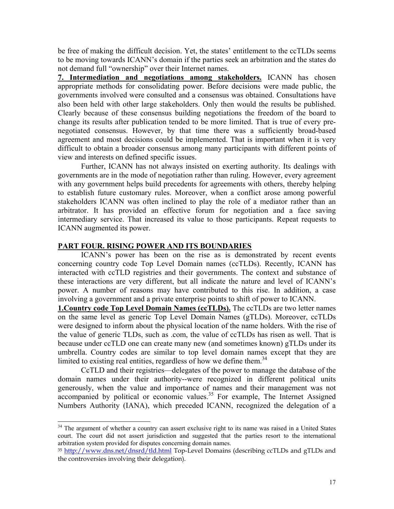be free of making the difficult decision. Yet, the states' entitlement to the ccTLDs seems to be moving towards ICANN's domain if the parties seek an arbitration and the states do not demand full "ownership" over their Internet names.

**7. Intermediation and negotiations among stakeholders.** ICANN has chosen appropriate methods for consolidating power. Before decisions were made public, the governments involved were consulted and a consensus was obtained. Consultations have also been held with other large stakeholders. Only then would the results be published. Clearly because of these consensus building negotiations the freedom of the board to change its results after publication tended to be more limited. That is true of every prenegotiated consensus. However, by that time there was a sufficiently broad-based agreement and most decisions could be implemented. That is important when it is very difficult to obtain a broader consensus among many participants with different points of view and interests on defined specific issues.

Further, ICANN has not always insisted on exerting authority. Its dealings with governments are in the mode of negotiation rather than ruling. However, every agreement with any government helps build precedents for agreements with others, thereby helping to establish future customary rules. Moreover, when a conflict arose among powerful stakeholders ICANN was often inclined to play the role of a mediator rather than an arbitrator. It has provided an effective forum for negotiation and a face saving intermediary service. That increased its value to those participants. Repeat requests to ICANN augmented its power.

#### **PART FOUR. RISING POWER AND ITS BOUNDARIES**

 $\overline{a}$ 

 ICANN's power has been on the rise as is demonstrated by recent events concerning country code Top Level Domain names (ccTLDs). Recently, ICANN has interacted with ccTLD registries and their governments. The context and substance of these interactions are very different, but all indicate the nature and level of ICANN's power. A number of reasons may have contributed to this rise. In addition, a case involving a government and a private enterprise points to shift of power to ICANN.

**1.Country code Top Level Domain Names (ccTLDs).** The ccTLDs are two letter names on the same level as generic Top Level Domain Names (gTLDs). Moreover, ccTLDs were designed to inform about the physical location of the name holders. With the rise of the value of generic TLDs, such as .com, the value of ccTLDs has risen as well. That is because under ccTLD one can create many new (and sometimes known) gTLDs under its umbrella. Country codes are similar to top level domain names except that they are limited to existing real entities, regardless of how we define them.<sup>34</sup>

CcTLD and their registries—delegates of the power to manage the database of the domain names under their authority--were recognized in different political units generously, when the value and importance of names and their management was not accompanied by political or economic values.<sup>35</sup> For example, The Internet Assigned Numbers Authority (IANA), which preceded ICANN, recognized the delegation of a

<sup>&</sup>lt;sup>34</sup> The argument of whether a country can assert exclusive right to its name was raised in a United States court. The court did not assert jurisdiction and suggested that the parties resort to the international arbitration system provided for disputes concerning domain names.

<sup>35</sup> http://www.dns.net/dnsrd/tld.html Top-Level Domains (describing ccTLDs and gTLDs and the controversies involving their delegation).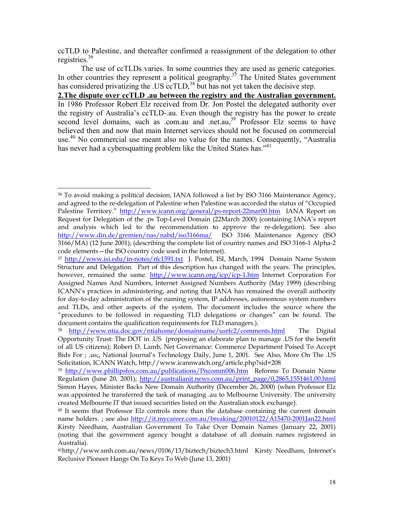ccTLD to Palestine, and thereafter confirmed a reassignment of the delegation to other registries.36

The use of ccTLDs varies. In some countries they are used as generic categories. In other countries they represent a political geography.<sup>37</sup> The United States government has considered privatizing the .US ccTLD,  $^{38}$  but has not yet taken the decisive step.

**2.The dispute over ccTLD .au between the registry and the Australian government.** In 1986 Professor Robert Elz received from Dr. Jon Postel the delegated authority over the registry of Australia's ccTLD-.au. Even though the registry has the power to create second level domains, such as .com.au and .net.au,<sup>39</sup> Professor Elz seems to have believed then and now that main Internet services should not be focused on commercial use.<sup>40</sup> No commercial use meant also no value for the names. Consequently, "Australia" has never had a cybersquatting problem like the United States has."<sup>41</sup>

<sup>&</sup>lt;sup>36</sup> To avoid making a political decision, IANA followed a list by ISO 3166 Maintenance Agency, and agreed to the re-delegation of Palestine when Palestine was accorded the status of "Occupied Palestine Territory." http://www.icann.org/general/ps-report-22mar00.htm IANA Report on Request for Delegation of the .ps Top-Level Domain (22March 2000) (containing IANA's report and analysis which led to the recommendation to approve the re-delegation). See also http://www.din.de/gremien/nas/nabd/iso3166ma/ ISO 3166 Maintenance Agency (ISO 3166/MA) (12 June 2001); (describing the complete list of country names and ISO 3166-1 Alpha-2 code elements—the ISO country code used in the Internet).

<sup>37</sup> http://www.isi.edu/in-notes/rfc1591.txt J. Postel, ISI, March, 1994 Domain Name System Structure and Delegation. Part of this description has changed with the years. The principles, however, remained the same. http://www.icann.org/icp/icp-1.htm Internet Corporation For Assigned Names And Numbers, Internet Assigned Numbers Authority (May 1999) (describing ICANN's practices in administering, and noting that IANA has remained the overall authority for day-to-day administration of the naming system, IP addresses, autonomous system numbers and TLDs, and other aspects of the system. The document includes the source where the "procedures to be followed in requesting TLD delegations or changes" can be found. The document contains the qualification requirements for TLD managers.).

<sup>38</sup> http://www.ntia.doc.gov/ntiahome/domainname/usrfc2/comments.html The Digital Opportunity Trust: The DOT in .US (proposing an elaborate plan to manage .US for the benefit of all US citizens); Robert D. Lamb, Net Governance: Commerce Department Poised To Accept Bids For ; .us;, National Journal's Technology Daily, June 1, 2001. See Also, More On The .US Solicitation, ICANN Watch, http://www.icannwatch.org/article.php?sid=208

<sup>&</sup>lt;sup>39</sup> http://www.phillipsfox.com.au/publications/Pncomm006.htm Reforms To Domain Name Regulation (June 20, 2001); http://australianit.news.com.au/print\_page/0,2865,1551461,00.html Simon Hayes, Minister Backs New Domain Authority (December 26, 2000) (when Professor Elz was appointed he transferred the task of managing .au to Melbourne University. The university created Melbourne IT that issued securities listed on the Australian stock exchange).

<sup>40</sup> It seems that Professor Elz controls more than the database containing the current domain name holders. ; see also http://it.mycareer.com.au/breaking/20010122/A15470-2001Jan22.html Kirsty Needham, Australian Government To Take Over Domain Names (January 22, 2001) (noting that the government agency bought a database of all domain names registered in Australia).

<sup>41</sup>http://www.smh.com.au/news/0106/13/biztech/biztech3.html Kirsty Needham, Internet's Reclusive Pioneer Hangs On To Keys To Web (June 13, 2001)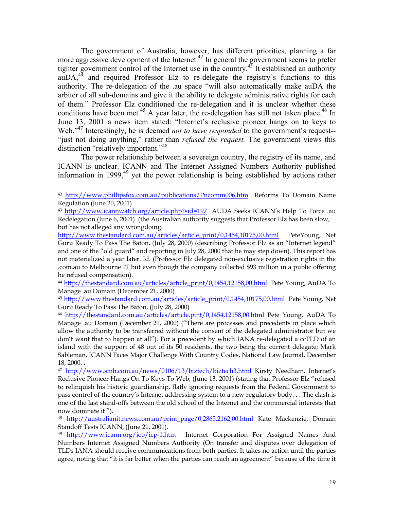The government of Australia, however, has different priorities, planning a far more aggressive development of the Internet.<sup>42</sup> In general the government seems to prefer tighter government control of the Internet use in the country.<sup>43</sup> It established an authority auDA, $44$  and required Professor Elz to re-delegate the registry's functions to this authority. The re-delegation of the .au space "will also automatically make auDA the arbiter of all sub-domains and give it the ability to delegate administrative rights for each of them." Professor Elz conditioned the re-delegation and it is unclear whether these conditions have been met.<sup>45</sup> A year later, the re-delegation has still not taken place.<sup>46</sup> In June 13, 2001 a news item stated: "Internet's reclusive pioneer hangs on to keys to Web."<sup>47</sup> Interestingly, he is deemed *not to have responded* to the government's request--"just not doing anything," rather than *refused the request.* The government views this distinction "relatively important."<sup>48</sup>

The power relationship between a sovereign country, the registry of its name, and ICANN is unclear. ICANN and The Internet Assigned Numbers Authority published information in 1999, $49$  yet the power relationship is being established by actions rather

<sup>42</sup> http://www.phillipsfox.com.au/publications/Pncomm006.htm Reforms To Domain Name Regulation (June 20, 2001)

<sup>43</sup> http://www.icannwatch.org/article.php?sid=197 AUDA Seeks ICANN's Help To Force .au Redelegation (June 6, 2001) (the Australian authority suggests that Professor Elz has been slow, but has not alleged any wrongdoing.

http://www.thestandard.com.au/articles/article\_print/0,1454,10175,00.html PeteYoung, Net Guru Ready To Pass The Baton, (July 28, 2000) (describing Professor Elz as an "Internet legend" and one of the "old guard" and reporting in July 28, 2000 that he may step down). This report has not materialized a year later. Id. (Professor Elz delegated non-exclusive registration rights in the .com.au to Melbourne IT but even though the company collected \$93 million in a public offering he refused compensation).

<sup>44</sup> http://thestandard.com.au/articles/article\_print/0,1454,12158,00.html Pete Young, AuDA To Manage .au Domain (December 21, 2000)

<sup>45</sup> http://www.thestandard.com.au/articles/article\_print/0,1454,10175,00.html Pete Young, Net Guru Ready To Pass The Baton, (July 28, 2000)

<sup>46</sup> http://thestandard.com.au/articles/article.pint/0,1454,12158,00.html Pete Young, AuDA To Manage .au Domain (December 21, 2000) ("There are processes and precedents in place which allow the authority to be transferred without the consent of the delegated administrator but we don't want that to happen at all"). For a precedent by which IANA re-delegated a ccTLD of an island with the support of 48 out of its 50 residents, the two being the current delegate; Mark Sableman, ICANN Faces Major Challenge With Country Codes, National Law Journal, December 18, 2000. .

<sup>47</sup> http://www.smh.com.au/news/0106/13/biztech/biztech3.html Kirsty Needham, Internet's Reclusive Pioneer Hangs On To Keys To Web, (June 13, 2001) (stating that Professor Elz "refused to relinquish his historic guardianship, flatly ignoring requests from the Federal Government to pass control of the country's Internet addressing system to a new regulatory body. . . The clash is one of the last stand-offs between the old school of the Internet and the commercial interests that now dominate it ").

<sup>48</sup> http://australianit.news.com.au/print\_page/0,2865,2162,00.html Kate Mackenzie, Domain Standoff Tests ICANN, (June 21, 2001).

<sup>&</sup>lt;sup>49</sup> http://www.icann.org/icp/icp-1.htm Internet Corporation For Assigned Names And Numbers Internet Assigned Numbers Authority (On transfer and disputes over delegation of TLDs IANA should receive communications from both parties. It takes no action until the parties agree, noting that "it is far better when the parties can reach an agreement" because of the time it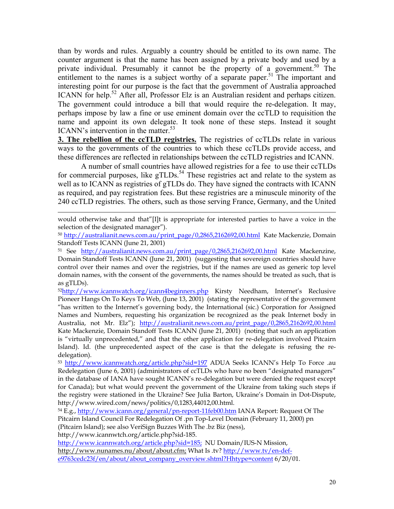than by words and rules. Arguably a country should be entitled to its own name. The counter argument is that the name has been assigned by a private body and used by a private individual. Presumably it cannot be the property of a government.<sup>50</sup> The entitlement to the names is a subject worthy of a separate paper.<sup>51</sup> The important and interesting point for our purpose is the fact that the government of Australia approached ICANN for help.<sup>52</sup> After all, Professor Elz is an Australian resident and perhaps citizen. The government could introduce a bill that would require the re-delegation. It may, perhaps impose by law a fine or use eminent domain over the ccTLD to requisition the name and appoint its own delegate. It took none of these steps. Instead it sought ICANN's intervention in the matter.<sup>53</sup>

**3. The rebellion of the ccTLD registries.** The registries of ccTLDs relate in various ways to the governments of the countries to which these ccTLDs provide access, and these differences are reflected in relationships between the ccTLD registries and ICANN.

A number of small countries have allowed registries for a fee to use their ccTLDs for commercial purposes, like gTLDs.<sup>54</sup> These registries act and relate to the system as well as to ICANN as registries of gTLDs do. They have signed the contracts with ICANN as required, and pay registration fees. But these registries are a minuscule minority of the 240 ccTLD registries. The others, such as those serving France, Germany, and the United

would otherwise take and that"[I]t is appropriate for interested parties to have a voice in the selection of the designated manager").

<sup>50</sup> http://australianit.news.com.au/print\_page/0,2865,2162692,00.html Kate Mackenzie, Domain Standoff Tests ICANN (June 21, 2001)

51 See http://australianit.news.com.au/print\_page/0,2865,2162692,00.html Kate Mackenzine, Domain Standoff Tests ICANN (June 21, 2001) (suggesting that sovereign countries should have control over their names and over the registries, but if the names are used as generic top level domain names, with the consent of the governments, the names should be treated as such, that is as gTLDs).

52http://www.icannwatch.org/icann4beginners.php Kirsty Needham, Internet's Reclusive Pioneer Hangs On To Keys To Web, (June 13, 2001) (stating the representative of the government "has written to the Internet's governing body, the International (sic.) Corporation for Assigned Names and Numbers, requesting his organization be recognized as the peak Internet body in Australia, not Mr. Elz"); http://australianit.news.com.au/print\_page/0,2865,2162692,00.html Kate Mackenzie, Domain Standoff Tests ICANN (June 21, 2001) (noting that such an application is "virtually unprecedented," and that the other application for re-delegation involved Pitcairn Island). Id. (the unprecedented aspect of the case is that the delegate is refusing the redelegation).

<sup>53</sup> http://www.icannwatch.org/article.php?sid=197 ADUA Seeks ICANN's Help To Force .au Redelegation (June 6, 2001) (administrators of ccTLDs who have no been "designated managers" in the database of IANA have sought ICANN's re-delegation but were denied the request except for Canada); but what would prevent the government of the Ukraine from taking such steps if the registry were stationed in the Ukraine? See Julia Barton, Ukraine's Domain in Dot-Dispute, http://www.wired.com/news/politics/0,1283,44012,00.html.

<sup>54</sup> E.g., http://www.icann.org/general/pn-report-11feb00.htm IANA Report: Request Of The Pitcairn Island Council For Redelegation Of .pn Top-Level Domain (February 11, 2000) pn (Pitcairn Island); see also VeriSign Buzzes With The .bz Biz (ness),

http://www.icannwtch.org/article.php?sid-185.

 $\overline{a}$ 

http://www.icannwatch.org/article.php?sid=185; NU Domain/IUS-N Mission,

http://www.nunames.nu/about/about.cfm; What Is .tv? http://www.tv/en-defe9763cedc23f/en/about/about\_company\_overview.shtml?Hhtype=content 6/20/01.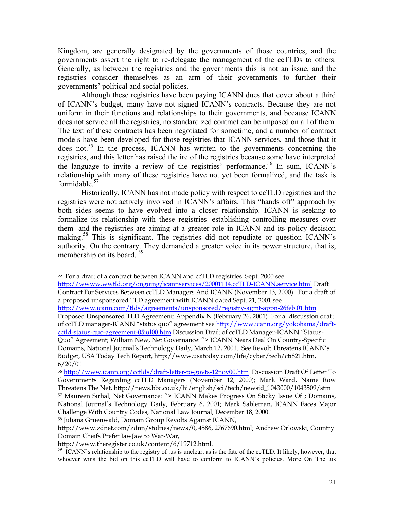Kingdom, are generally designated by the governments of those countries, and the governments assert the right to re-delegate the management of the ccTLDs to others. Generally, as between the registries and the governments this is not an issue, and the registries consider themselves as an arm of their governments to further their governments' political and social policies.

Although these registries have been paying ICANN dues that cover about a third of ICANN's budget, many have not signed ICANN's contracts. Because they are not uniform in their functions and relationships to their governments, and because ICANN does not service all the registries, no standardized contract can be imposed on all of them. The text of these contracts has been negotiated for sometime, and a number of contract models have been developed for those registries that ICANN services, and those that it does not.<sup>55</sup> In the process, ICANN has written to the governments concerning the registries, and this letter has raised the ire of the registries because some have interpreted the language to invite a review of the registries' performance.<sup>56</sup> In sum, ICANN's relationship with many of these registries have not yet been formalized, and the task is formidable.<sup>57</sup>

Historically, ICANN has not made policy with respect to ccTLD registries and the registries were not actively involved in ICANN's affairs. This "hands off" approach by both sides seems to have evolved into a closer relationship. ICANN is seeking to formalize its relationship with these registries--establishing controlling measures over them--and the registries are aiming at a greater role in ICANN and its policy decision making.<sup>58</sup> This is significant. The registries did not repudiate or question ICANN's authority. On the contrary. They demanded a greater voice in its power structure, that is, membership on its board.<sup>59</sup>

http://wwww.wwtld.org/ongoing/icannservices/20001114.ccTLD-ICANN.service.html Draft Contract For Services Between ccTLD Managers And ICANN (November 13, 2000). For a draft of a proposed unsponsored TLD agreement with ICANN dated Sept. 21, 2001 see

http://www.icann.com/tlds/agreements/unsponsored/registry-agmt-appn-26feb.01.htm Proposed Unsponsored TLD Agreement: Appendix N (February 26, 2001) For a discussion draft of ccTLD manager-ICANN "status quo" agreement see http://www.icann.org/yokohama/draftcctld-status-quo-agreement-05jul00.htm Discussion Draft of ccTLD Manager-ICANN "Status-Quo" Agreement; William New, Net Governance: "> ICANN Nears Deal On Country-Specific Domains, National Journal's Technology Daily, March 12, 2001. See Revolt Threatens ICANN's Budget, USA Today Tech Report, http://www.usatoday.com/life/cyber/tech/cti821.htm, 6/20/01

58 Juliana Gruenwald, Domain Group Revolts Against ICANN,

<sup>&</sup>lt;sup>55</sup> For a draft of a contract between ICANN and ccTLD registries. Sept. 2000 see

<sup>56</sup> http://www.icann.org/cctlds/draft-letter-to-govts-12nov00.htm Discussion Draft Of Letter To Governments Regarding ccTLD Managers (November 12, 2000); Mark Ward, Name Row Threatens The Net, http://news.bbc.co.uk/hi/english/sci/tech/newsid\_1043000/1043509/stm 57 Maureen Sirhal, Net Governance: "> ICANN Makes Progress On Sticky Issue Of ; Domains, National Journal's Technology Daily, February 6, 2001; Mark Sableman, ICANN Faces Major Challenge With Country Codes, National Law Journal, December 18, 2000.

http://www.zdnet.com/zdnn/stolries/news/0, 4586, 2767690.html; Andrew Orlowski, Country Domain Cheifs Prefer JawJaw to War-War,

http://www.theregister.co.uk/content/6/19712.html.<br><sup>59</sup> ICANN's relationship to the registry of .us is unclear, as is the fate of the ccTLD. It likely, however, that whoever wins the bid on this ccTLD will have to conform to ICANN's policies. More On The .us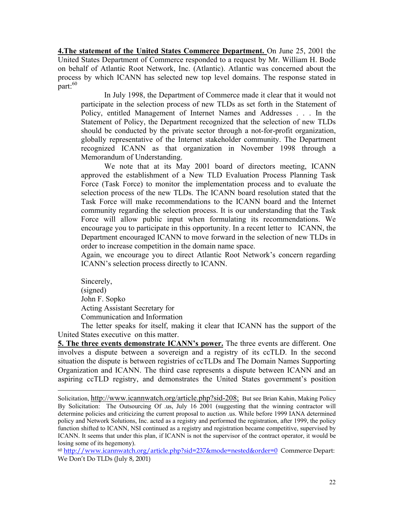**4.The statement of the United States Commerce Department.** On June 25, 2001 the United States Department of Commerce responded to a request by Mr. William H. Bode on behalf of Atlantic Root Network, Inc. (Atlantic). Atlantic was concerned about the process by which ICANN has selected new top level domains. The response stated in  $part:$ <sup>60</sup>

In July 1998, the Department of Commerce made it clear that it would not participate in the selection process of new TLDs as set forth in the Statement of Policy, entitled Management of Internet Names and Addresses . . . In the Statement of Policy, the Department recognized that the selection of new TLDs should be conducted by the private sector through a not-for-profit organization, globally representative of the Internet stakeholder community. The Department recognized ICANN as that organization in November 1998 through a Memorandum of Understanding.

We note that at its May 2001 board of directors meeting, ICANN approved the establishment of a New TLD Evaluation Process Planning Task Force (Task Force) to monitor the implementation process and to evaluate the selection process of the new TLDs. The ICANN board resolution stated that the Task Force will make recommendations to the ICANN board and the Internet community regarding the selection process. It is our understanding that the Task Force will allow public input when formulating its recommendations. We encourage you to participate in this opportunity. In a recent letter to ICANN, the Department encouraged ICANN to move forward in the selection of new TLDs in order to increase competition in the domain name space.

Again, we encourage you to direct Atlantic Root Network's concern regarding ICANN's selection process directly to ICANN.

Sincerely, (signed) John F. Sopko Acting Assistant Secretary for Communication and Information

 $\overline{a}$ 

 The letter speaks for itself, making it clear that ICANN has the support of the United States executive on this matter.

**5. The three events demonstrate ICANN's power.** The three events are different. One involves a dispute between a sovereign and a registry of its ccTLD. In the second situation the dispute is between registries of ccTLDs and The Domain Names Supporting Organization and ICANN. The third case represents a dispute between ICANN and an aspiring ccTLD registry, and demonstrates the United States government's position

<sup>60</sup> http://www.icannwatch.org/article.php?sid=237&mode=nested&order=0 Commerce Depart: We Don't Do TLDs (July 8, 2001)

Solicitation, http://www.icannwatch.org/article.php?sid-208; But see Brian Kahin, Making Policy By Solicitation: The Outsourcing Of .us, July 16 2001 (suggesting that the winning contractor will determine policies and criticizing the current proposal to auction .us. While before 1999 IANA determined policy and Network Solutions, Inc. acted as a registry and performed the registration, after 1999, the policy function shifted to ICANN, NSI continued as a registry and registration became competitive, supervised by ICANN. It seems that under this plan, if ICANN is not the supervisor of the contract operator, it would be losing some of its hegemony).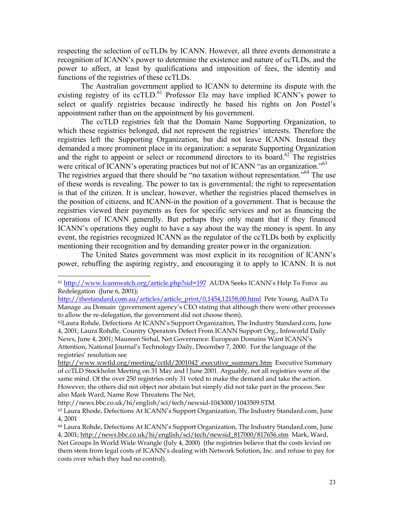respecting the selection of ccTLDs by ICANN. However, all three events demonstrate a recognition of ICANN's power to determine the existence and nature of ccTLDs, and the power to affect, at least by qualifications and imposition of fees, the identity and functions of the registries of these ccTLDs.

The Australian government applied to ICANN to determine its dispute with the existing registry of its ccTLD.<sup>61</sup> Professor Elz may have implied ICANN's power to select or qualify registries because indirectly he based his rights on Jon Postel's appointment rather than on the appointment by his government.

The ccTLD registries felt that the Domain Name Supporting Organization, to which these registries belonged, did not represent the registries' interests. Therefore the registries left the Supporting Organization, but did not leave ICANN. Instead they demanded a more prominent place in its organization: a separate Supporting Organization and the right to appoint or select or recommend directors to its board.<sup>62</sup> The registries were critical of ICANN's operating practices but not of ICANN "as an organization."<sup>63</sup>

The registries argued that there should be "no taxation without representation."<sup>64</sup> The use of these words is revealing. The power to tax is governmental; the right to representation is that of the citizen. It is unclear, however, whether the registries placed themselves in the position of citizens, and ICANN-in the position of a government. That is because the registries viewed their payments as fees for specific services and not as financing the operations of ICANN generally. But perhaps they only meant that if they financed ICANN's operations they ought to have a say about the way the money is spent. In any event, the registries recognized ICANN as the regulator of the ccTLDs both by explicitly mentioning their recognition and by demanding greater power in the organization.

The United States government was most explicit in its recognition of ICANN's power, rebuffing the aspiring registry, and encouraging it to apply to ICANN. It is not

<sup>&</sup>lt;sup>61</sup> http://www.Icannwatch.org/article.php?sid=197 AUDA Seeks ICANN's Help To Force .au Redelegation (June 6, 2001);

http://thestandard.com.au/articles/article\_print/0,1454,12158,00.html Pete Young, AuDA To Manage .au Domain (government agency's CEO stating that although there were other processes to allow the re-delegation, the government did not choose them).

 $62$ Laura Rohde, Defections At ICANN's Support Organizaiton, The Industry Standard.com, June 4, 2001; Laura Rohdle, Country Operators Defect From ICANN Support Org., Infoworld Daily News, June 4, 2001; Maureen Sirhal, Net Governance: European Domains Want ICANN's Attention, National Journal's Technology Daily, December 7, 2000. For the language of the registries' resolution see

http://www.wwtld.org/meeting/cctld/2001042`.executive\_summary.htm Executive Summary of ccTLD Stockholm Meeting on 31 May and l June 2001. Arguably, not all registries were of the same mind. Of the over 250 registries only 31 voted to make the demand and take the action. However, the others did not object nor abstain but simply did not take part in the process. See also Mark Ward, Name Row Threatens The Net,

http://news.bbc.co.uk/hi/english/sci/tech/newsid-1043000/1043509.STM.

 $63$  Laura Rhode, Defections At ICANN's Support Organization, The Industry Standard.com, June 4, 2001

<sup>64</sup> Laura Rohde, Defections At ICANN's Support Organization, The Industry Standard.com, June 4, 2001; http://news.bbc.co.uk/hi/english/sci/tech/newsid\_817000/817656.stm Mark, Ward, Net Groups In World Wide Wrangle (July 4, 2000) (the registries believe that the costs levied on them stem from legal costs of ICANN's dealing with Network Solution, Inc. and refuse to pay for costs over which they had no control).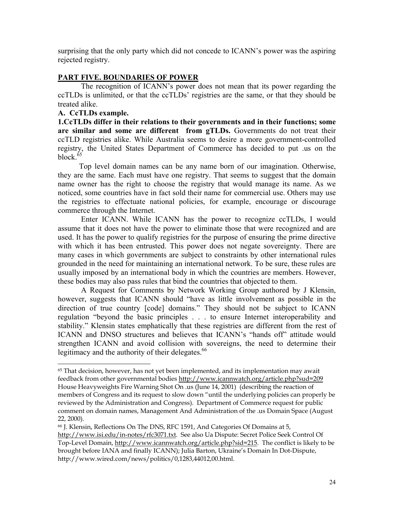surprising that the only party which did not concede to ICANN's power was the aspiring rejected registry.

## **PART FIVE. BOUNDARIES OF POWER**

The recognition of ICANN's power does not mean that its power regarding the ccTLDs is unlimited, or that the ccTLDs' registries are the same, or that they should be treated alike.

## **A. CcTLDs example.**

 $\overline{a}$ 

**1.CcTLDs differ in their relations to their governments and in their functions; some are similar and some are different from gTLDs.** Governments do not treat their ccTLD registries alike. While Australia seems to desire a more government-controlled registry, the United States Department of Commerce has decided to put .us on the  $block<sup>65</sup>$ 

 Top level domain names can be any name born of our imagination. Otherwise, they are the same. Each must have one registry. That seems to suggest that the domain name owner has the right to choose the registry that would manage its name. As we noticed, some countries have in fact sold their name for commercial use. Others may use the registries to effectuate national policies, for example, encourage or discourage commerce through the Internet.

Enter ICANN. While ICANN has the power to recognize ccTLDs, I would assume that it does not have the power to eliminate those that were recognized and are used. It has the power to qualify registries for the purpose of ensuring the prime directive with which it has been entrusted. This power does not negate sovereignty. There are many cases in which governments are subject to constraints by other international rules grounded in the need for maintaining an international network. To be sure, these rules are usually imposed by an international body in which the countries are members. However, these bodies may also pass rules that bind the countries that objected to them.

A Request for Comments by Network Working Group authored by J Klensin, however, suggests that ICANN should "have as little involvement as possible in the direction of true country [code] domains." They should not be subject to ICANN regulation "beyond the basic principles . . . to ensure Internet interoperability and stability." Klensin states emphatically that these registries are different from the rest of ICANN and DNSO structures and believes that ICANN's "hands off" attitude would strengthen ICANN and avoid collision with sovereigns, the need to determine their legitimacy and the authority of their delegates.<sup>66</sup>

 $65$  That decision, however, has not yet been implemented, and its implementation may await feedback from other governmental bodies http://www.icannwatch.org/article.php?sud=209 House Heavyweights Fire Warning Shot On .us (June 14, 2001) (describing the reaction of members of Congress and its request to slow down "until the underlying policies can properly be reviewed by the Administration and Congress). Department of Commerce request for public comment on domain names, Management And Administration of the .us Domain Space (August 22, 2000).

<sup>66</sup> J. Klensin, Reflections On The DNS, RFC 1591, And Categories Of Domains at 5, http://www.isi.edu/in-notes/rfc3071.txt. See also Ua Dispute: Secret Police Seek Control Of Top-Level Domain, http://www.icannwatch.org/article.php?sid=215. The conflict is likely to be brought before IANA and finally ICANN); Julia Barton, Ukraine's Domain In Dot-Dispute, http://www.wired.com/news/politics/0,1283,44012,00.html.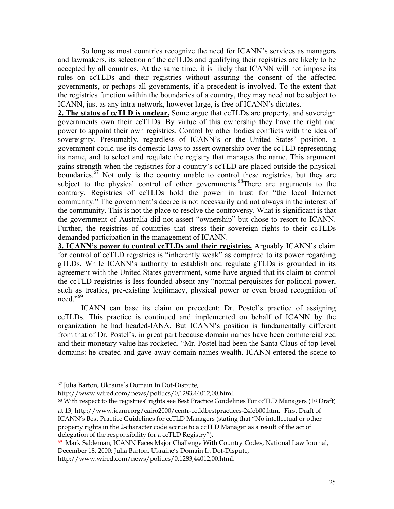So long as most countries recognize the need for ICANN's services as managers and lawmakers, its selection of the ccTLDs and qualifying their registries are likely to be accepted by all countries. At the same time, it is likely that ICANN will not impose its rules on ccTLDs and their registries without assuring the consent of the affected governments, or perhaps all governments, if a precedent is involved. To the extent that the registries function within the boundaries of a country, they may need not be subject to ICANN, just as any intra-network, however large, is free of ICANN's dictates.

**2. The status of ccTLD is unclear.** Some argue that ccTLDs are property, and sovereign governments own their ccTLDs. By virtue of this ownership they have the right and power to appoint their own registries. Control by other bodies conflicts with the idea of sovereignty. Presumably, regardless of ICANN's or the United States' position, a government could use its domestic laws to assert ownership over the ccTLD representing its name, and to select and regulate the registry that manages the name. This argument gains strength when the registries for a country's ccTLD are placed outside the physical boundaries. $67$  Not only is the country unable to control these registries, but they are subject to the physical control of other governments.<sup>68</sup>There are arguments to the contrary. Registries of ccTLDs hold the power in trust for "the local Internet community." The government's decree is not necessarily and not always in the interest of the community. This is not the place to resolve the controversy. What is significant is that the government of Australia did not assert "ownership" but chose to resort to ICANN. Further, the registries of countries that stress their sovereign rights to their ccTLDs demanded participation in the management of ICANN.

**3. ICANN's power to control ccTLDs and their registries.** Arguably ICANN's claim for control of ccTLD registries is "inherently weak" as compared to its power regarding gTLDs. While ICANN's authority to establish and regulate gTLDs is grounded in its agreement with the United States government, some have argued that its claim to control the ccTLD registries is less founded absent any "normal perquisites for political power, such as treaties, pre-existing legitimacy, physical power or even broad recognition of need."<sup>69</sup>

ICANN can base its claim on precedent: Dr. Postel's practice of assigning ccTLDs. This practice is continued and implemented on behalf of ICANN by the organization he had headed-IANA. But ICANN's position is fundamentally different from that of Dr. Postel's, in great part because domain names have been commercialized and their monetary value has rocketed. "Mr. Postel had been the Santa Claus of top-level domains: he created and gave away domain-names wealth. ICANN entered the scene to

 $\overline{a}$ 

 $69$  Mark Sableman, ICANN Faces Major Challenge With Country Codes, National Law Journal, December 18, 2000; Julia Barton, Ukraine's Domain In Dot-Dispute,

http://www.wired.com/news/politics/0,1283,44012,00.html.

<sup>67</sup> Julia Barton, Ukraine's Domain In Dot-Dispute,

http://www.wired.com/news/politics/0,1283,44012,00.html.

<sup>&</sup>lt;sup>68</sup> With respect to the registries' rights see Best Practice Guidelines For ccTLD Managers (1<sup>st</sup> Draft) at 13, http://www.icann.org/cairo2000/centr-cctldbestpractices-24feb00.htm. First Draft of ICANN's Best Practice Guidelines for ccTLD Managers (stating that "No intellectual or other property rights in the 2-character code accrue to a ccTLD Manager as a result of the act of delegation of the responsibility for a ccTLD Registry").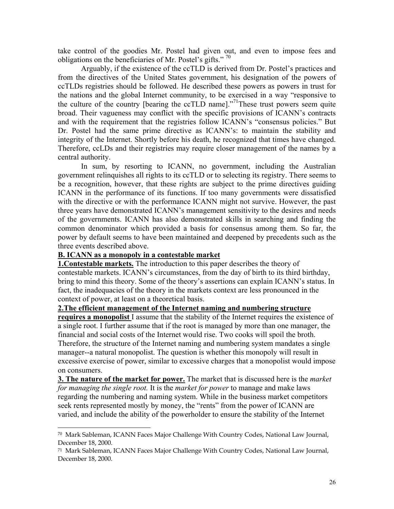take control of the goodies Mr. Postel had given out, and even to impose fees and obligations on the beneficiaries of Mr. Postel's gifts."<sup>70</sup>

Arguably, if the existence of the ccTLD is derived from Dr. Postel's practices and from the directives of the United States government, his designation of the powers of ccTLDs registries should be followed. He described these powers as powers in trust for the nations and the global Internet community, to be exercised in a way "responsive to the culture of the country [bearing the ccTLD name]."71These trust powers seem quite broad. Their vagueness may conflict with the specific provisions of ICANN's contracts and with the requirement that the registries follow ICANN's "consensus policies." But Dr. Postel had the same prime directive as ICANN's: to maintain the stability and integrity of the Internet. Shortly before his death, he recognized that times have changed. Therefore, ccLDs and their registries may require closer management of the names by a central authority.

 In sum, by resorting to ICANN, no government, including the Australian government relinquishes all rights to its ccTLD or to selecting its registry. There seems to be a recognition, however, that these rights are subject to the prime directives guiding ICANN in the performance of its functions. If too many governments were dissatisfied with the directive or with the performance ICANN might not survive. However, the past three years have demonstrated ICANN's management sensitivity to the desires and needs of the governments. ICANN has also demonstrated skills in searching and finding the common denominator which provided a basis for consensus among them. So far, the power by default seems to have been maintained and deepened by precedents such as the three events described above.

#### **B. ICANN as a monopoly in a contestable market**

 $\overline{\phantom{a}}$ 

**1.Contestable markets.** The introduction to this paper describes the theory of contestable markets. ICANN's circumstances, from the day of birth to its third birthday, bring to mind this theory. Some of the theory's assertions can explain ICANN's status. In fact, the inadequacies of the theory in the markets context are less pronounced in the context of power, at least on a theoretical basis.

## **2.The efficient management of the Internet naming and numbering structure**

**requires a monopolist** I assume that the stability of the Internet requires the existence of a single root. I further assume that if the root is managed by more than one manager, the financial and social costs of the Internet would rise. Two cooks will spoil the broth. Therefore, the structure of the Internet naming and numbering system mandates a single manager--a natural monopolist. The question is whether this monopoly will result in excessive exercise of power, similar to excessive charges that a monopolist would impose on consumers.

**3. The nature of the market for power.** The market that is discussed here is the *market for managing the single root.* It is the *market for power* to manage and make laws regarding the numbering and naming system. While in the business market competitors seek rents represented mostly by money, the "rents" from the power of ICANN are varied, and include the ability of the powerholder to ensure the stability of the Internet

<sup>70</sup> Mark Sableman, ICANN Faces Major Challenge With Country Codes, National Law Journal, December 18, 2000.

<sup>71</sup> Mark Sableman, ICANN Faces Major Challenge With Country Codes, National Law Journal, December 18, 2000.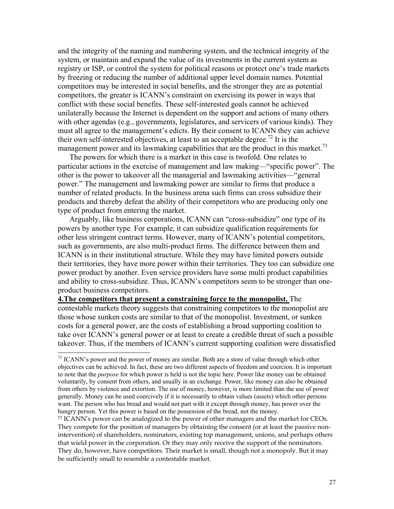and the integrity of the naming and numbering system, and the technical integrity of the system, or maintain and expand the value of its investments in the current system as registry or ISP, or control the system for political reasons or protect one's trade markets by freezing or reducing the number of additional upper level domain names. Potential competitors may be interested in social benefits, and the stronger they are as potential competitors, the greater is ICANN's constraint on exercising its power in ways that conflict with these social benefits. These self-interested goals cannot be achieved unilaterally because the Internet is dependent on the support and actions of many others with other agendas (e.g., governments, legislatures, and servicers of various kinds). They must all agree to the management's edicts. By their consent to ICANN they can achieve their own self-interested objectives, at least to an acceptable degree.<sup>72</sup> It is the management power and its lawmaking capabilities that are the product in this market.<sup>73</sup>

The powers for which there is a market in this case is twofold. One relates to particular actions in the exercise of management and law making—"specific power". The other is the power to takeover all the managerial and lawmaking activities—"general power." The management and lawmaking power are similar to firms that produce a number of related products. In the business arena such firms can cross subsidize their products and thereby defeat the ability of their competitors who are producing only one type of product from entering the market.

Arguably, like business corporations, ICANN can "cross-subsidize" one type of its powers by another type. For example, it can subsidize qualification requirements for other less stringent contract terms. However, many of ICANN's potential competitors, such as governments, are also multi-product firms. The difference between them and ICANN is in their institutional structure. While they may have limited powers outside their territories, they have more power within their territories. They too can subsidize one power product by another. Even service providers have some multi product capabilities and ability to cross-subsidize. Thus, ICANN's competitors seem to be stronger than oneproduct business competitors.

**4.The competitors that present a constraining force to the monopolist.** The contestable markets theory suggests that constraining competitors to the monopolist are those whose sunken costs are similar to that of the monopolist. Investment, or sunken costs for a general power, are the costs of establishing a broad supporting coalition to take over ICANN's general power or at least to create a credible threat of such a possible takeover. Thus, if the members of ICANN's current supporting coalition were dissatisfied

 $\overline{a}$ 

 $73$  ICANN's power can be analogized to the power of other managers and the market for CEOs. They compete for the position of managers by obtaining the consent (or at least the passive nonintervention) of shareholders, nominators, existing top management, unions, and perhaps others that wield power in the corporation. Or they may only receive the support of the nominators. They do, however, have competitors. Their market is small, though not a monopoly. But it may be sufficiently small to resemble a contestable market.

 $72$  ICANN's power and the power of money are similar. Both are a store of value through which other objectives can be achieved. In fact, these are two different aspects of freedom and coercion. It is important to note that the *purpose* for which power is held is not the topic here. Power like money can be obtained voluntarily, by consent from others, and usually in an exchange. Power, like money can also be obtained from others by violence and extortion. The use of money, however, is more limited than the use of power generally. Money can be used coercively if it is necessarily to obtain values (assets) which other persons want. The person who has bread and would not part with it except through money, has power over the hungry person. Yet this power is based on the possession of the bread, not the money.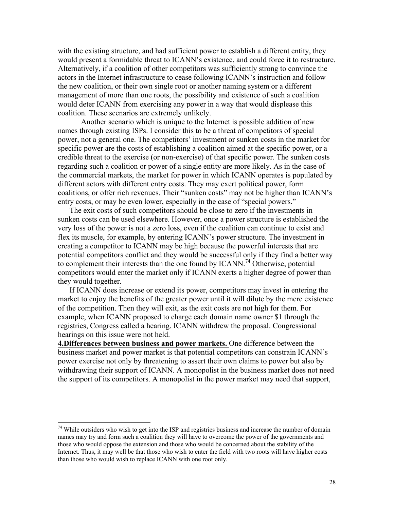with the existing structure, and had sufficient power to establish a different entity, they would present a formidable threat to ICANN's existence, and could force it to restructure. Alternatively, if a coalition of other competitors was sufficiently strong to convince the actors in the Internet infrastructure to cease following ICANN's instruction and follow the new coalition, or their own single root or another naming system or a different management of more than one roots, the possibility and existence of such a coalition would deter ICANN from exercising any power in a way that would displease this coalition. These scenarios are extremely unlikely.

 Another scenario which is unique to the Internet is possible addition of new names through existing ISPs. I consider this to be a threat of competitors of special power, not a general one. The competitors' investment or sunken costs in the market for specific power are the costs of establishing a coalition aimed at the specific power, or a credible threat to the exercise (or non-exercise) of that specific power. The sunken costs regarding such a coalition or power of a single entity are more likely. As in the case of the commercial markets, the market for power in which ICANN operates is populated by different actors with different entry costs. They may exert political power, form coalitions, or offer rich revenues. Their "sunken costs" may not be higher than ICANN's entry costs, or may be even lower, especially in the case of "special powers."

The exit costs of such competitors should be close to zero if the investments in sunken costs can be used elsewhere. However, once a power structure is established the very loss of the power is not a zero loss, even if the coalition can continue to exist and flex its muscle, for example, by entering ICANN's power structure. The investment in creating a competitor to ICANN may be high because the powerful interests that are potential competitors conflict and they would be successful only if they find a better way to complement their interests than the one found by  $ICANN<sup>74</sup>$  Otherwise, potential competitors would enter the market only if ICANN exerts a higher degree of power than they would together.

If ICANN does increase or extend its power, competitors may invest in entering the market to enjoy the benefits of the greater power until it will dilute by the mere existence of the competition. Then they will exit, as the exit costs are not high for them. For example, when ICANN proposed to charge each domain name owner \$1 through the registries, Congress called a hearing. ICANN withdrew the proposal. Congressional hearings on this issue were not held.

**4.Differences between business and power markets.** One difference between the business market and power market is that potential competitors can constrain ICANN's power exercise not only by threatening to assert their own claims to power but also by withdrawing their support of ICANN. A monopolist in the business market does not need the support of its competitors. A monopolist in the power market may need that support,

 $\overline{\phantom{a}}$ 

 $74$  While outsiders who wish to get into the ISP and registries business and increase the number of domain names may try and form such a coalition they will have to overcome the power of the governments and those who would oppose the extension and those who would be concerned about the stability of the Internet. Thus, it may well be that those who wish to enter the field with two roots will have higher costs than those who would wish to replace ICANN with one root only.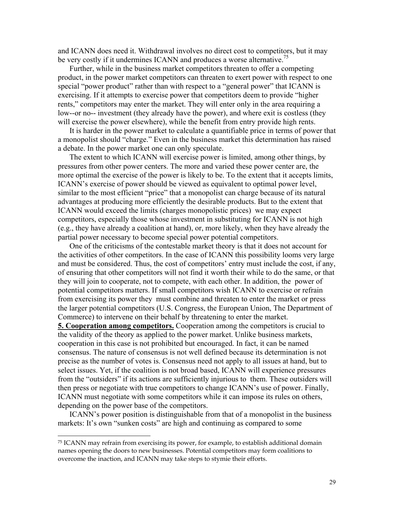and ICANN does need it. Withdrawal involves no direct cost to competitors, but it may be very costly if it undermines ICANN and produces a worse alternative.<sup>75</sup>

Further, while in the business market competitors threaten to offer a competing product, in the power market competitors can threaten to exert power with respect to one special "power product" rather than with respect to a "general power" that ICANN is exercising. If it attempts to exercise power that competitors deem to provide "higher rents," competitors may enter the market. They will enter only in the area requiring a low--or no-- investment (they already have the power), and where exit is costless (they will exercise the power elsewhere), while the benefit from entry provide high rents.

It is harder in the power market to calculate a quantifiable price in terms of power that a monopolist should "charge." Even in the business market this determination has raised a debate. In the power market one can only speculate.

The extent to which ICANN will exercise power is limited, among other things, by pressures from other power centers. The more and varied these power center are, the more optimal the exercise of the power is likely to be. To the extent that it accepts limits, ICANN's exercise of power should be viewed as equivalent to optimal power level, similar to the most efficient "price" that a monopolist can charge because of its natural advantages at producing more efficiently the desirable products. But to the extent that ICANN would exceed the limits (charges monopolistic prices) we may expect competitors, especially those whose investment in substituting for ICANN is not high (e.g., they have already a coalition at hand), or, more likely, when they have already the partial power necessary to become special power potential competitors.

One of the criticisms of the contestable market theory is that it does not account for the activities of other competitors. In the case of ICANN this possibility looms very large and must be considered. Thus, the cost of competitors' entry must include the cost, if any, of ensuring that other competitors will not find it worth their while to do the same, or that they will join to cooperate, not to compete, with each other. In addition, the power of potential competitors matters. If small competitors wish ICANN to exercise or refrain from exercising its power they must combine and threaten to enter the market or press the larger potential competitors (U.S. Congress, the European Union, The Department of Commerce) to intervene on their behalf by threatening to enter the market. **5. Cooperation among competitors.** Cooperation among the competitors is crucial to the validity of the theory as applied to the power market. Unlike business markets, cooperation in this case is not prohibited but encouraged. In fact, it can be named consensus. The nature of consensus is not well defined because its determination is not precise as the number of votes is. Consensus need not apply to all issues at hand, but to select issues. Yet, if the coalition is not broad based, ICANN will experience pressures from the "outsiders" if its actions are sufficiently injurious to them. These outsiders will then press or negotiate with true competitors to change ICANN's use of power. Finally, ICANN must negotiate with some competitors while it can impose its rules on others, depending on the power base of the competitors.

ICANN's power position is distinguishable from that of a monopolist in the business markets: It's own "sunken costs" are high and continuing as compared to some

 $\overline{\phantom{a}}$ 

<sup>75</sup> ICANN may refrain from exercising its power, for example, to establish additional domain names opening the doors to new businesses. Potential competitors may form coalitions to overcome the inaction, and ICANN may take steps to stymie their efforts.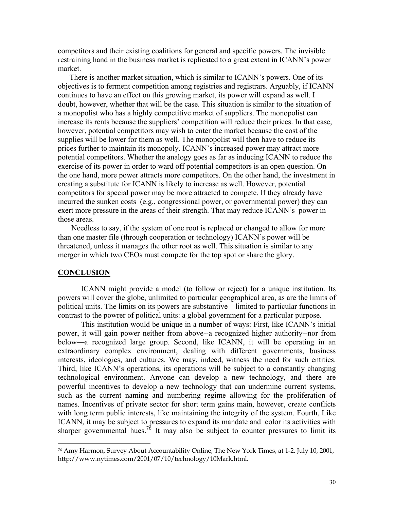competitors and their existing coalitions for general and specific powers. The invisible restraining hand in the business market is replicated to a great extent in ICANN's power market.

There is another market situation, which is similar to ICANN's powers. One of its objectives is to ferment competition among registries and registrars. Arguably, if ICANN continues to have an effect on this growing market, its power will expand as well. I doubt, however, whether that will be the case. This situation is similar to the situation of a monopolist who has a highly competitive market of suppliers. The monopolist can increase its rents because the suppliers' competition will reduce their prices. In that case, however, potential competitors may wish to enter the market because the cost of the supplies will be lower for them as well. The monopolist will then have to reduce its prices further to maintain its monopoly. ICANN's increased power may attract more potential competitors. Whether the analogy goes as far as inducing ICANN to reduce the exercise of its power in order to ward off potential competitors is an open question. On the one hand, more power attracts more competitors. On the other hand, the investment in creating a substitute for ICANN is likely to increase as well. However, potential competitors for special power may be more attracted to compete. If they already have incurred the sunken costs (e.g., congressional power, or governmental power) they can exert more pressure in the areas of their strength. That may reduce ICANN's power in those areas.

 Needless to say, if the system of one root is replaced or changed to allow for more than one master file (through cooperation or technology) ICANN's power will be threatened, unless it manages the other root as well. This situation is similar to any merger in which two CEOs must compete for the top spot or share the glory.

#### **CONCLUSION**

 $\overline{a}$ 

ICANN might provide a model (to follow or reject) for a unique institution. Its powers will cover the globe, unlimited to particular geographical area, as are the limits of political units. The limits on its powers are substantive—limited to particular functions in contrast to the powrer of political units: a global government for a particular purpose.

This institution would be unique in a number of ways: First, like ICANN's initial power, it will gain power neither from above--a recognized higher authority--nor from below—a recognized large group. Second, like ICANN, it will be operating in an extraordinary complex environment, dealing with different governments, business interests, ideologies, and cultures. We may, indeed, witness the need for such entities. Third, like ICANN's operations, its operations will be subject to a constantly changing technological environment. Anyone can develop a new technology, and there are powerful incentives to develop a new technology that can undermine current systems, such as the current naming and numbering regime allowing for the proliferation of names. Incentives of private sector for short term gains main, however, create conflicts with long term public interests, like maintaining the integrity of the system. Fourth, Like ICANN, it may be subject to pressures to expand its mandate and color its activities with sharper governmental hues.<sup>76</sup> It may also be subject to counter pressures to limit its

<sup>76</sup> Amy Harmon, Survey About Accountability Online, The New York Times, at 1-2, July 10, 2001, http://www.nytimes.com/2001/07/10/technology/10Mark.html.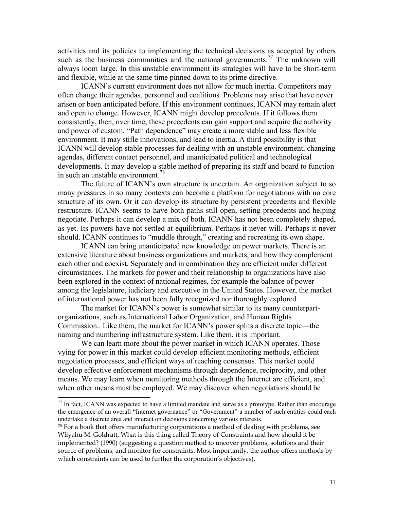activities and its policies to implementing the technical decisions as accepted by others such as the business communities and the national governments.<sup>77</sup> The unknown will always loom large. In this unstable environment its strategies will have to be short-term and flexible, while at the same time pinned down to its prime directive.

ICANN's current environment does not allow for much inertia. Competitors may often change their agendas, personnel and coalitions. Problems may arise that have never arisen or been anticipated before. If this environment continues, ICANN may remain alert and open to change. However, ICANN might develop precedents. If it follows them consistently, then, over time, these precedents can gain support and acquire the authority and power of custom. "Path dependence" may create a more stable and less flexible environment. It may stifle innovations, and lead to inertia. A third possibility is that ICANN will develop stable processes for dealing with an unstable environment, changing agendas, different contact personnel, and unanticipated political and technological developments. It may develop a stable method of preparing its staff and board to function in such an unstable environment  $^{78}$ 

The future of ICANN's own structure is uncertain. An organization subject to so many pressures in so many contexts can become a platform for negotiations with no core structure of its own. Or it can develop its structure by persistent precedents and flexible restructure. ICANN seems to have both paths still open, setting precedents and helping negotiate. Perhaps it can develop a mix of both. ICANN has not been completely shaped, as yet. Its powers have not settled at equilibrium. Perhaps it never will. Perhaps it never should. ICANN continues to "muddle through," creating and recreating its own shape.

ICANN can bring unanticipated new knowledge on power markets. There is an extensive literature about business organizations and markets, and how they complement each other and coexist. Separately and in combination they are efficient under different circumstances. The markets for power and their relationship to organizations have also been explored in the context of national regimes, for example the balance of power among the legislature, judiciary and executive in the United States. However, the market of international power has not been fully recognized nor thoroughly explored.

The market for ICANN's power is somewhat similar to its many counterpartorganizations, such as International Labor Organization, and Human Rights Commission.. Like them, the market for ICANN's power splits a discrete topic—the naming and numbering infrastructure system. Like them, it is important.

We can learn more about the power market in which ICANN operates. Those vying for power in this market could develop efficient monitoring methods, efficient negotiation processes, and efficient ways of reaching consensus. This market could develop effective enforcement mechanisms through dependence, reciprocity, and other means. We may learn when monitoring methods through the Internet are efficient, and when other means must be employed. We may discover when negotiations should be

 $\overline{\phantom{a}}$ 

 $^{77}$  In fact, ICANN was expected to have a limited mandate and serve as a prototype. Rather than encourage the emergence of an overall "Internet governance" or "Government" a number of such entities could each undertake a discrete area and interact on decisions concerning various interests.

 $78$  For a book that offers manufacturing corporations a method of dealing with problems, see Wliyahu M. Goldratt, What is this thing called Theory of Constraints and how should it be implemented? (1990) (suggesting a question method to uncover problems, solutions and their source of problems, and monitor for constraints. Most importantly, the author offers methods by which constraints can be used to further the corporation's objectives).